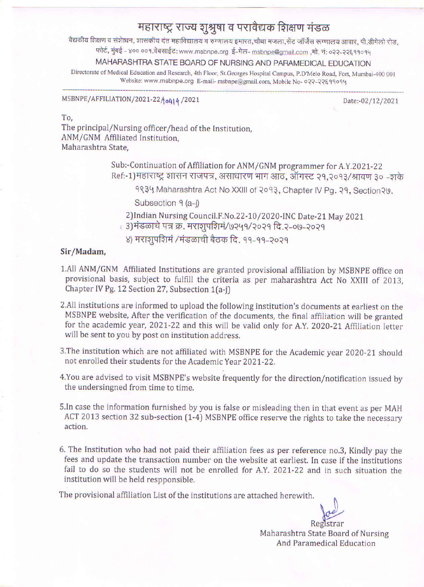# महाराष्ट्र राज्य शुश्रुषा व परावैद्यक शिक्षण मंडळ

वैद्यकीय शिक्षण व संशेाधन, शासकीय दंत महाविद्यालय व रुग्णालय इमारत,चौथा मजला,सेंट जॉर्जेस रूग्णालय आवार, पी.डीमेलो रोड,

फोर्ट, मुंबई - ४०० ००१.वेबसाईट: www.msbnpe.org ई-मेल- msbnpe@gmail.com ,मो. नं: ०२२-२२६११०१५

# MAHARASHTRA STATE BOARD OF NURSING AND PARAMEDICAL EDUCATION

Directorate of Medical Education and Research, 4th Floor, St.Georges Hospital Campus, P.D'Melo Road, Fort, Mumbai-400 001 Website: www.msbnpe.org E-mail- msbnpe@gmail.com, Mobile No- 022-22899094

## MSBNPE/AFFILIATION/2021-22/0414/2021

Date:-02/12/2021

### To.

The principal/Nursing officer/head of the Institution, ANM/GNM Affiliated Institution. Maharashtra State,

> Sub:-Continuation of Affiliation for ANM/GNM programmer for A.Y.2021-22 Ref:-1)महाराष्ट्र शासन राजपत्र, असाधारण भाग आठ, ऑगस्ट २१,२०१३/श्रावण ३० -शके

9834 Maharashtra Act No XXIII of 2093, Chapter IV Pg. 29, Section 20.

Subsection 9 (a-j)

2) Indian Nursing Council.F.No.22-10/2020-INC Date-21 May 2021

. 3)मंडळाचे पत्र क्र. मराशुपशिमं/७२५१/२०२१ दि.२-०७-२०२१

४) मराशुपशिमं /मंडळाची बैठक दि. ११-११-२०२१

### Sir/Madam,

- 1.All ANM/GNM Affiliated Institutions are granted provisional affiliation by MSBNPE office on provisional basis, subject to fulfill the criteria as per maharashtra Act No XXIII of 2013, Chapter IV Pg. 12 Section 27, Subsection 1(a-j)
- 2.All institutions are informed to upload the following institution's documents at earliest on the MSBNPE website, After the verification of the documents, the final affiliation will be granted for the academic year, 2021-22 and this will be valid only for A.Y. 2020-21 Affiliation letter will be sent to you by post on institution address.
- 3. The institution which are not affiliated with MSBNPE for the Academic year 2020-21 should not enrolled their students for the Academic Year 2021-22.
- 4. You are advised to visit MSBNPE's website frequently for the direction/notification issued by the undersingned from time to time.
- 5. In case the information furnished by you is false or misleading then in that event as per MAH ACT 2013 section 32 sub-section (1-4) MSBNPE office reserve the rights to take the necessary action.
- 6. The Institution who had not paid their affiliation fees as per reference no.3, Kindly pay the fees and update the transaction number on the website at earliest. In case if the institutions fail to do so the students will not be enrolled for A.Y. 2021-22 and in such situation the institution will be held respponsible.

The provisional affiliation List of the institutions are attached herewith.

Maharashtra State Board of Nursing And Paramedical Education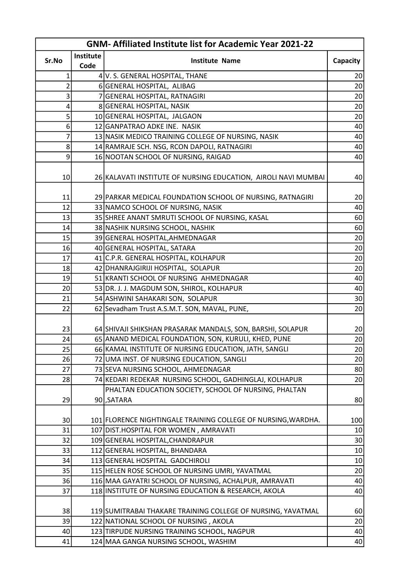| <b>GNM-Affiliated Institute list for Academic Year 2021-22</b> |           |                                                                |                 |
|----------------------------------------------------------------|-----------|----------------------------------------------------------------|-----------------|
| Sr.No                                                          | Institute | <b>Institute Name</b>                                          | Capacity        |
|                                                                | Code      |                                                                |                 |
| 1                                                              |           | 4 V. S. GENERAL HOSPITAL, THANE                                | 20              |
| 2                                                              |           | 6 GENERAL HOSPITAL, ALIBAG                                     | 20              |
| 3                                                              |           | 7 GENERAL HOSPITAL, RATNAGIRI                                  | 20              |
| 4                                                              |           | 8 GENERAL HOSPITAL, NASIK                                      | 20              |
| 5                                                              |           | 10 GENERAL HOSPITAL, JALGAON                                   | 20              |
| 6                                                              |           | 12 GANPATRAO ADKE INE. NASIK                                   | 40              |
| 7                                                              |           | 13 NASIK MEDICO TRAINING COLLEGE OF NURSING, NASIK             | 40              |
| 8                                                              |           | 14 RAMRAJE SCH. NSG, RCON DAPOLI, RATNAGIRI                    | 40              |
| 9                                                              |           | 16 NOOTAN SCHOOL OF NURSING, RAIGAD                            | 40              |
| 10                                                             |           | 26 KALAVATI INSTITUTE OF NURSING EDUCATION, AIROLI NAVI MUMBAI | 40              |
| 11                                                             |           | 29 PARKAR MEDICAL FOUNDATION SCHOOL OF NURSING, RATNAGIRI      | 20              |
| 12                                                             |           | 33 NAMCO SCHOOL OF NURSING, NASIK                              | 40              |
| 13                                                             |           | 35 SHREE ANANT SMRUTI SCHOOL OF NURSING, KASAL                 | 60              |
| 14                                                             |           | 38 NASHIK NURSING SCHOOL, NASHIK                               | 60              |
| 15                                                             |           | 39 GENERAL HOSPITAL, AHMEDNAGAR                                | 20              |
| 16                                                             |           | 40 GENERAL HOSPITAL, SATARA                                    | 20              |
| 17                                                             |           | 41 C.P.R. GENERAL HOSPITAL, KOLHAPUR                           | 20              |
| 18                                                             |           | 42 DHANRAJGIRIJI HOSPITAL, SOLAPUR                             | 20              |
| 19                                                             |           | 51 KRANTI SCHOOL OF NURSING AHMEDNAGAR                         | 40              |
| 20                                                             |           | 53 DR. J. J. MAGDUM SON, SHIROL, KOLHAPUR                      | 40              |
| 21                                                             |           | 54 ASHWINI SAHAKARI SON, SOLAPUR                               | 30              |
| 22                                                             |           | 62 Sevadham Trust A.S.M.T. SON, MAVAL, PUNE,                   | 20              |
|                                                                |           |                                                                |                 |
| 23                                                             |           | 64 SHIVAJI SHIKSHAN PRASARAK MANDALS, SON, BARSHI, SOLAPUR     | 20              |
| 24                                                             |           | 65 ANAND MEDICAL FOUNDATION, SON, KURULI, KHED, PUNE           | 20              |
| 25                                                             |           | 66 KAMAL INSTITUTE OF NURSING EDUCATION, JATH, SANGLI          | 20 <sup>1</sup> |
| 26                                                             |           | 72 UMA INST. OF NURSING EDUCATION, SANGLI                      | 20              |
| 27                                                             |           | 73 SEVA NURSING SCHOOL, AHMEDNAGAR                             | 80              |
| 28                                                             |           | 74 KEDARI REDEKAR NURSING SCHOOL, GADHINGLAJ, KOLHAPUR         | 20              |
|                                                                |           | PHALTAN EDUCATION SOCIETY, SCHOOL OF NURSING, PHALTAN          |                 |
| 29                                                             |           | 90 SATARA                                                      | 80              |
|                                                                |           |                                                                |                 |
| 30                                                             |           | 101 FLORENCE NIGHTINGALE TRAINING COLLEGE OF NURSING, WARDHA.  | 100             |
| 31                                                             |           | 107 DIST.HOSPITAL FOR WOMEN, AMRAVATI                          | 10              |
| 32                                                             |           | 109 GENERAL HOSPITAL, CHANDRAPUR                               | 30              |
| 33                                                             |           | 112 GENERAL HOSPITAL, BHANDARA                                 | $10\,$          |
| 34                                                             |           | 113 GENERAL HOSPITAL GADCHIROLI                                | $10\,$          |
| 35                                                             |           | 115 HELEN ROSE SCHOOL OF NURSING UMRI, YAVATMAL                | 20              |
| 36                                                             |           | 116 MAA GAYATRI SCHOOL OF NURSING, ACHALPUR, AMRAVATI          | 40              |
| 37                                                             |           | 118 INSTITUTE OF NURSING EDUCATION & RESEARCH, AKOLA           | 40              |
|                                                                |           |                                                                |                 |
| 38                                                             |           | 119 SUMITRABAI THAKARE TRAINING COLLEGE OF NURSING, YAVATMAL   | 60              |
| 39                                                             |           | 122 NATIONAL SCHOOL OF NURSING, AKOLA                          | 20              |
| 40                                                             |           | 123 TIRPUDE NURSING TRAINING SCHOOL, NAGPUR                    | 40              |
| 41                                                             |           | 124 MAA GANGA NURSING SCHOOL, WASHIM                           | 40              |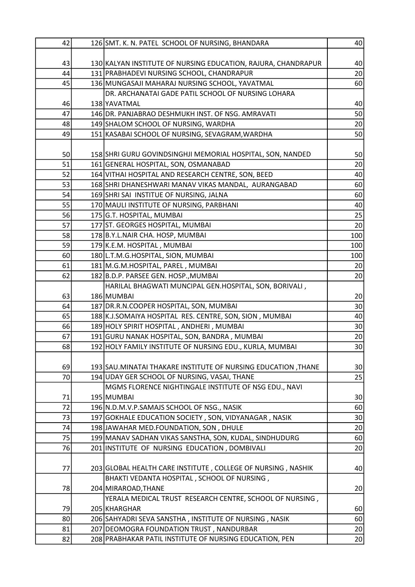| 42 | 126 SMT. K. N. PATEL SCHOOL OF NURSING, BHANDARA              | 40              |
|----|---------------------------------------------------------------|-----------------|
|    |                                                               |                 |
| 43 | 130 KALYAN INSTITUTE OF NURSING EDUCATION, RAJURA, CHANDRAPUR | 40              |
| 44 | 131 PRABHADEVI NURSING SCHOOL, CHANDRAPUR                     | 20              |
| 45 | 136 MUNGASAJI MAHARAJ NURSING SCHOOL, YAVATMAL                | 60              |
|    | DR. ARCHANATAI GADE PATIL SCHOOL OF NURSING LOHARA            |                 |
| 46 | 138 YAVATMAL                                                  | 40              |
| 47 | 146 DR. PANJABRAO DESHMUKH INST. OF NSG. AMRAVATI             | 50              |
| 48 | 149 SHALOM SCHOOL OF NURSING, WARDHA                          | 20              |
| 49 | 151 KASABAI SCHOOL OF NURSING, SEVAGRAM, WARDHA               | 50              |
|    |                                                               |                 |
| 50 | 158 SHRI GURU GOVINDSINGHJI MEMORIAL HOSPITAL, SON, NANDED    | 50              |
| 51 | 161 GENERAL HOSPITAL, SON, OSMANABAD                          | 20              |
| 52 | 164 VITHAI HOSPITAL AND RESEARCH CENTRE, SON, BEED            | 40              |
| 53 | 168 SHRI DHANESHWARI MANAV VIKAS MANDAL, AURANGABAD           | 60              |
| 54 | 169 SHRI SAI INSTITUE OF NURSING, JALNA                       | 60              |
| 55 | 170 MAULI INSTITUTE OF NURSING, PARBHANI                      | 40              |
| 56 | 175 G.T. HOSPITAL, MUMBAI                                     | 25              |
| 57 | 177 ST. GEORGES HOSPITAL, MUMBAI                              | 20              |
| 58 | 178 B.Y.L.NAIR CHA. HOSP, MUMBAI                              | 100             |
| 59 | 179 K.E.M. HOSPITAL, MUMBAI                                   | 100             |
| 60 | 180 L.T.M.G.HOSPITAL, SION, MUMBAI                            | 100             |
| 61 | 181 M.G.M.HOSPITAL, PAREL, MUMBAI                             | 20              |
| 62 | 182 B.D.P. PARSEE GEN. HOSP., MUMBAI                          | 20              |
|    | HARILAL BHAGWATI MUNCIPAL GEN.HOSPITAL, SON, BORIVALI,        |                 |
| 63 | 186 MUMBAI                                                    | 20 <sup>°</sup> |
| 64 | 187 DR.R.N.COOPER HOSPITAL, SON, MUMBAI                       | 30              |
| 65 | 188 K.J.SOMAIYA HOSPITAL RES. CENTRE, SON, SION, MUMBAI       | 40              |
| 66 | 189 HOLY SPIRIT HOSPITAL, ANDHERI, MUMBAI                     | 30 <sup>°</sup> |
| 67 | 191 GURU NANAK HOSPITAL, SON, BANDRA, MUMBAI                  | 20              |
| 68 | 192 HOLY FAMILY INSTITUTE OF NURSING EDU., KURLA, MUMBAI      | 30              |
|    |                                                               |                 |
| 69 | 193 SAU.MINATAI THAKARE INSTITUTE OF NURSING EDUCATION, THANE | 30 <sup>°</sup> |
| 70 | 194 UDAY GER SCHOOL OF NURSING, VASAI, THANE                  | 25              |
|    | MGMS FLORENCE NIGHTINGALE INSTITUTE OF NSG EDU., NAVI         |                 |
| 71 | 195 MUMBAI                                                    | 30              |
| 72 | 196 N.D.M.V.P.SAMAJS SCHOOL OF NSG., NASIK                    | 60              |
| 73 | 197 GOKHALE EDUCATION SOCIETY, SON, VIDYANAGAR, NASIK         | 30              |
| 74 | 198 JAWAHAR MED.FOUNDATION, SON, DHULE                        | 20              |
| 75 | 199 MANAV SADHAN VIKAS SANSTHA, SON, KUDAL, SINDHUDURG        | 60              |
| 76 | 201 INSTITUTE OF NURSING EDUCATION, DOMBIVALI                 | 20              |
|    |                                                               |                 |
| 77 | 203 GLOBAL HEALTH CARE INSTITUTE, COLLEGE OF NURSING, NASHIK  | 40              |
|    | BHAKTI VEDANTA HOSPITAL, SCHOOL OF NURSING,                   |                 |
| 78 | 204 MIRAROAD, THANE                                           | 20              |
|    | YERALA MEDICAL TRUST RESEARCH CENTRE, SCHOOL OF NURSING,      |                 |
| 79 | 205 KHARGHAR                                                  | 60              |
| 80 | 206 SAHYADRI SEVA SANSTHA, INSTITUTE OF NURSING, NASIK        | 60              |
| 81 | 207 DEOMOGRA FOUNDATION TRUST, NANDURBAR                      | 20              |
| 82 | 208 PRABHAKAR PATIL INSTITUTE OF NURSING EDUCATION, PEN       | 20              |
|    |                                                               |                 |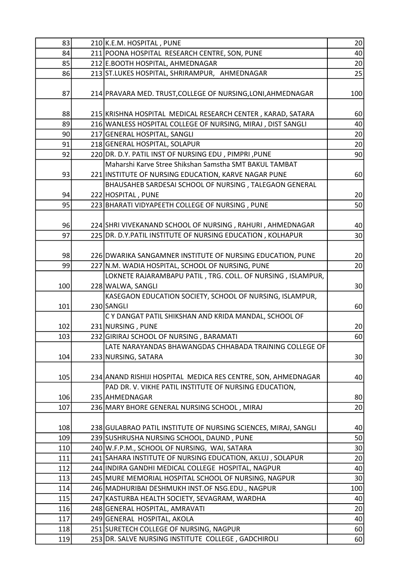| 83         | 210 K.E.M. HOSPITAL, PUNE                                       | 20              |
|------------|-----------------------------------------------------------------|-----------------|
| 84         | 211 POONA HOSPITAL RESEARCH CENTRE, SON, PUNE                   | 40              |
| 85         | 212 E.BOOTH HOSPITAL, AHMEDNAGAR                                | 20              |
| 86         | 213 ST.LUKES HOSPITAL, SHRIRAMPUR, AHMEDNAGAR                   | 25              |
|            |                                                                 |                 |
| 87         | 214 PRAVARA MED. TRUST, COLLEGE OF NURSING, LONI, AHMEDNAGAR    | 100             |
|            |                                                                 |                 |
| 88         | 215 KRISHNA HOSPITAL MEDICAL RESEARCH CENTER, KARAD, SATARA     | 60              |
| 89         | 216 WANLESS HOSPITAL COLLEGE OF NURSING, MIRAJ, DIST SANGLI     | 40              |
| 90         | 217 GENERAL HOSPITAL, SANGLI                                    | 20              |
| 91         | 218 GENERAL HOSPITAL, SOLAPUR                                   | 20 <sup>°</sup> |
| 92         | 220 DR. D.Y. PATIL INST OF NURSING EDU, PIMPRI, PUNE            | 90              |
|            | Maharshi Karve Stree Shikshan Samstha SMT BAKUL TAMBAT          |                 |
| 93         | 221 INSTITUTE OF NURSING EDUCATION, KARVE NAGAR PUNE            | 60              |
|            | BHAUSAHEB SARDESAI SCHOOL OF NURSING, TALEGAON GENERAL          |                 |
| 94         | 222 HOSPITAL, PUNE                                              | 20              |
| 95         | 223 BHARATI VIDYAPEETH COLLEGE OF NURSING, PUNE                 | 50              |
|            |                                                                 |                 |
| 96         | 224 SHRI VIVEKANAND SCHOOL OF NURSING, RAHURI, AHMEDNAGAR       | 40              |
| 97         | 225 DR. D.Y. PATIL INSTITUTE OF NURSING EDUCATION, KOLHAPUR     | 30 <sup>2</sup> |
|            |                                                                 |                 |
| 98         | 226 DWARIKA SANGAMNER INSTITUTE OF NURSING EDUCATION, PUNE      | 20              |
| 99         | 227 N.M. WADIA HOSPITAL, SCHOOL OF NURSING, PUNE                | 20              |
|            | LOKNETE RAJARAMBAPU PATIL, TRG. COLL. OF NURSING, ISLAMPUR,     |                 |
| 100        | 228 WALWA, SANGLI                                               | 30              |
|            | KASEGAON EDUCATION SOCIETY, SCHOOL OF NURSING, ISLAMPUR,        |                 |
| 101        | 230 SANGLI                                                      | 60              |
|            | C Y DANGAT PATIL SHIKSHAN AND KRIDA MANDAL, SCHOOL OF           |                 |
| 102        | 231 NURSING, PUNE                                               | 20              |
| 103        | 232 GIRIRAJ SCHOOL OF NURSING, BARAMATI                         | 60              |
|            | LATE NARAYANDAS BHAWANGDAS CHHABADA TRAINING COLLEGE OF         |                 |
| 104        | 233 NURSING, SATARA                                             | 30 <sup>°</sup> |
|            |                                                                 |                 |
| 105        | 234 ANAND RISHIJI HOSPITAL MEDICA RES CENTRE, SON, AHMEDNAGAR   | 40              |
|            | PAD DR. V. VIKHE PATIL INSTITUTE OF NURSING EDUCATION,          |                 |
| 106<br>107 | 235 AHMEDNAGAR                                                  | 80              |
|            | 236 MARY BHORE GENERAL NURSING SCHOOL, MIRAJ                    | 20              |
| 108        | 238 GULABRAO PATIL INSTITUTE OF NURSING SCIENCES, MIRAJ, SANGLI | 40              |
| 109        | 239 SUSHRUSHA NURSING SCHOOL, DAUND, PUNE                       | 50              |
| 110        | 240 W.F.P.M., SCHOOL OF NURSING, WAI, SATARA                    | 30              |
| 111        | 241 SAHARA INSTITUTE OF NURSING EDUCATION, AKLUJ, SOLAPUR       | 20              |
| 112        | 244 INDIRA GANDHI MEDICAL COLLEGE HOSPITAL, NAGPUR              | 40              |
| 113        | 245 MURE MEMORIAL HOSPITAL SCHOOL OF NURSING, NAGPUR            | 30              |
| 114        | 246   MADHURIBAI DESHMUKH INST.OF NSG.EDU., NAGPUR              | 100             |
| 115        | 247 KASTURBA HEALTH SOCIETY, SEVAGRAM, WARDHA                   | 40              |
| 116        | 248 GENERAL HOSPITAL, AMRAVATI                                  | 20              |
| 117        | 249 GENERAL HOSPITAL, AKOLA                                     | 40              |
| 118        | 251 SURETECH COLLEGE OF NURSING, NAGPUR                         | 60              |
| 119        | 253 DR. SALVE NURSING INSTITUTE COLLEGE, GADCHIROLI             | 60              |
|            |                                                                 |                 |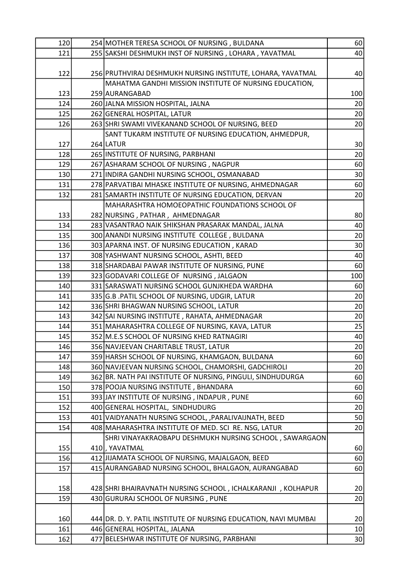| 120 | 254 MOTHER TERESA SCHOOL OF NURSING, BULDANA                                                       | 60              |
|-----|----------------------------------------------------------------------------------------------------|-----------------|
| 121 | 255 SAKSHI DESHMUKH INST OF NURSING, LOHARA, YAVATMAL                                              | 40              |
|     |                                                                                                    |                 |
| 122 | 256 PRUTHVIRAJ DESHMUKH NURSING INSTITUTE, LOHARA, YAVATMAL                                        | 40              |
|     | MAHATMA GANDHI MISSION INSTITUTE OF NURSING EDUCATION,                                             |                 |
| 123 | 259 AURANGABAD                                                                                     | 100             |
| 124 | 260 JALNA MISSION HOSPITAL, JALNA                                                                  | 20              |
| 125 | 262 GENERAL HOSPITAL, LATUR                                                                        | 20 <sup>°</sup> |
| 126 | 263 SHRI SWAMI VIVEKANAND SCHOOL OF NURSING, BEED                                                  | 20              |
|     | SANT TUKARM INSTITUTE OF NURSING EDUCATION, AHMEDPUR,                                              |                 |
| 127 | 264 LATUR                                                                                          | 30 <sup>°</sup> |
| 128 | 265 INSTITUTE OF NURSING, PARBHANI                                                                 | 20              |
| 129 | 267 ASHARAM SCHOOL OF NURSING, NAGPUR                                                              | 60              |
| 130 | 271 INDIRA GANDHI NURSING SCHOOL, OSMANABAD                                                        | 30 <sup>°</sup> |
| 131 | 278 PARVATIBAI MHASKE INSTITUTE OF NURSING, AHMEDNAGAR                                             | 60              |
| 132 | 281 SAMARTH INSTITUTE OF NURSING EDUCATION, DERVAN                                                 | 20              |
|     | MAHARASHTRA HOMOEOPATHIC FOUNDATIONS SCHOOL OF                                                     |                 |
| 133 | 282 NURSING, PATHAR, AHMEDNAGAR                                                                    | 80              |
| 134 | 283 VASANTRAO NAIK SHIKSHAN PRASARAK MANDAL, JALNA                                                 | 40              |
| 135 | 300 ANANDI NURSING INSTITUTE COLLEGE, BULDANA                                                      | 20              |
| 136 | 303 APARNA INST. OF NURSING EDUCATION, KARAD                                                       | 30              |
| 137 | 308 YASHWANT NURSING SCHOOL, ASHTI, BEED                                                           | 40              |
| 138 | 318 SHARDABAI PAWAR INSTITUTE OF NURSING, PUNE                                                     | 60              |
| 139 | 323 GODAVARI COLLEGE OF NURSING, JALGAON                                                           | 100             |
| 140 | 331 SARASWATI NURSING SCHOOL GUNJKHEDA WARDHA                                                      | 60              |
| 141 | 335 G.B. PATIL SCHOOL OF NURSING, UDGIR, LATUR                                                     | 20              |
| 142 | 336 SHRI BHAGWAN NURSING SCHOOL, LATUR                                                             | 20              |
| 143 | 342 SAI NURSING INSTITUTE, RAHATA, AHMEDNAGAR                                                      | 20              |
| 144 | 351 MAHARASHTRA COLLEGE OF NURSING, KAVA, LATUR                                                    | 25              |
| 145 | 352 M.E.S SCHOOL OF NURSING KHED RATNAGIRI                                                         | 40              |
| 146 | 356 NAVJEEVAN CHARITABLE TRUST, LATUR                                                              | 20              |
| 147 | 359 HARSH SCHOOL OF NURSING, KHAMGAON, BULDANA                                                     | 60              |
| 148 | 360 NAVJEEVAN NURSING SCHOOL, CHAMORSHI, GADCHIROLI                                                | 20              |
| 149 | 362 BR. NATH PAI INSTITUTE OF NURSING, PINGULI, SINDHUDURGA                                        | 60              |
| 150 | 378 POOJA NURSING INSTITUTE, BHANDARA                                                              | 60              |
| 151 | 393 JAY INSTITUTE OF NURSING, INDAPUR, PUNE                                                        | 60              |
| 152 | 400 GENERAL HOSPITAL, SINDHUDURG                                                                   | 20              |
| 153 | 401 VAIDYANATH NURSING SCHOOL, PARALIVAIJNATH, BEED                                                | 50              |
| 154 | 408   MAHARASHTRA INSTITUTE OF MED. SCI RE. NSG, LATUR                                             | 20              |
|     | SHRI VINAYAKRAOBAPU DESHMUKH NURSING SCHOOL, SAWARGAON                                             |                 |
| 155 | 410, YAVATMAL                                                                                      | 60              |
| 156 | 412 JIJAMATA SCHOOL OF NURSING, MAJALGAON, BEED                                                    |                 |
|     |                                                                                                    | 60<br>60        |
| 157 | 415 AURANGABAD NURSING SCHOOL, BHALGAON, AURANGABAD                                                |                 |
|     |                                                                                                    |                 |
| 158 | 428 SHRI BHAIRAVNATH NURSING SCHOOL, ICHALKARANJI, KOLHAPUR<br>430 GURURAJ SCHOOL OF NURSING, PUNE | 20<br>20        |
| 159 |                                                                                                    |                 |
|     |                                                                                                    |                 |
| 160 | 444 DR. D. Y. PATIL INSTITUTE OF NURSING EDUCATION, NAVI MUMBAI                                    | 20              |
| 161 | 446 GENERAL HOSPITAL, JALANA                                                                       | $10\,$          |
| 162 | 477 BELESHWAR INSTITUTE OF NURSING, PARBHANI                                                       | 30 <sup>°</sup> |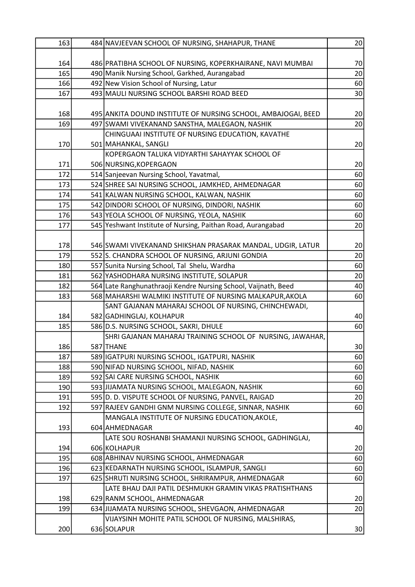| 163 | 484 NAVJEEVAN SCHOOL OF NURSING, SHAHAPUR, THANE               | 20              |
|-----|----------------------------------------------------------------|-----------------|
|     |                                                                |                 |
| 164 | 486 PRATIBHA SCHOOL OF NURSING, KOPERKHAIRANE, NAVI MUMBAI     | 70              |
| 165 | 490 Manik Nursing School, Garkhed, Aurangabad                  | 20              |
| 166 | 492 New Vision School of Nursing, Latur                        | 60              |
| 167 | 493 MAULI NURSING SCHOOL BARSHI ROAD BEED                      | 30              |
|     |                                                                |                 |
| 168 | 495 ANKITA DOUND INSTITUTE OF NURSING SCHOOL, AMBAJOGAI, BEED  | 20 <sup>°</sup> |
| 169 | 497 SWAMI VIVEKANAND SANSTHA, MALEGAON, NASHIK                 | 20              |
|     | CHINGUAAI INSTITUTE OF NURSING EDUCATION, KAVATHE              |                 |
| 170 | 501 MAHANKAL, SANGLI                                           | 20              |
|     | KOPERGAON TALUKA VIDYARTHI SAHAYYAK SCHOOL OF                  |                 |
| 171 | 506 NURSING, KOPERGAON                                         | 20 <sup>°</sup> |
| 172 | 514 Sanjeevan Nursing School, Yavatmal,                        | 60              |
| 173 | 524 SHREE SAI NURSING SCHOOL, JAMKHED, AHMEDNAGAR              | 60              |
| 174 | 541 KALWAN NURSING SCHOOL, KALWAN, NASHIK                      | 60              |
| 175 | 542 DINDORI SCHOOL OF NURSING, DINDORI, NASHIK                 | 60              |
| 176 | 543 YEOLA SCHOOL OF NURSING, YEOLA, NASHIK                     | 60              |
| 177 | 545 Yeshwant Institute of Nursing, Paithan Road, Aurangabad    | 20              |
|     |                                                                |                 |
| 178 | 546 SWAMI VIVEKANAND SHIKSHAN PRASARAK MANDAL, UDGIR, LATUR    | 20              |
| 179 | 552 S. CHANDRA SCHOOL OF NURSING, ARJUNI GONDIA                | 20 <sup>1</sup> |
| 180 | 557 Sunita Nursing School, Tal Shelu, Wardha                   | 60              |
| 181 | 562 YASHODHARA NURSING INSTITUTE, SOLAPUR                      | 20              |
| 182 | 564 Late Ranghunathraoji Kendre Nursing School, Vaijnath, Beed | 40              |
| 183 | 568 MAHARSHI WALMIKI INSTITUTE OF NURSING MALKAPUR, AKOLA      | 60              |
|     | SANT GAJANAN MAHARAJ SCHOOL OF NURSING, CHINCHEWADI,           |                 |
| 184 | 582 GADHINGLAJ, KOLHAPUR                                       | 40              |
| 185 | 586 D.S. NURSING SCHOOL, SAKRI, DHULE                          | 60              |
|     | SHRI GAJANAN MAHARAJ TRAINING SCHOOL OF NURSING, JAWAHAR,      |                 |
| 186 | 587 THANE                                                      | 30              |
| 187 | 589 IGATPURI NURSING SCHOOL, IGATPURI, NASHIK                  | 60              |
| 188 | 590 NIFAD NURSING SCHOOL, NIFAD, NASHIK                        | 60              |
| 189 | 592 SAI CARE NURSING SCHOOL, NASHIK                            | 60              |
| 190 | 593 JIJAMATA NURSING SCHOOL, MALEGAON, NASHIK                  | 60              |
| 191 | 595 D. D. VISPUTE SCHOOL OF NURSING, PANVEL, RAIGAD            | 20              |
| 192 | 597 RAJEEV GANDHI GNM NURSING COLLEGE, SINNAR, NASHIK          | 60              |
|     | MANGALA INSTITUTE OF NURSING EDUCATION, AKOLE,                 |                 |
| 193 | 604 AHMEDNAGAR                                                 | 40              |
|     | LATE SOU ROSHANBI SHAMANJI NURSING SCHOOL, GADHINGLAJ,         |                 |
| 194 | 606 KOLHAPUR                                                   | 20              |
| 195 | 608 ABHINAV NURSING SCHOOL, AHMEDNAGAR                         | 60              |
| 196 | 623 KEDARNATH NURSING SCHOOL, ISLAMPUR, SANGLI                 | 60              |
| 197 | 625 SHRUTI NURSING SCHOOL, SHRIRAMPUR, AHMEDNAGAR              | 60              |
|     | LATE BHAU DAJI PATIL DESHMUKH GRAMIN VIKAS PRATISHTHANS        |                 |
| 198 | 629 RANM SCHOOL, AHMEDNAGAR                                    | 20              |
| 199 | 634 JIJAMATA NURSING SCHOOL, SHEVGAON, AHMEDNAGAR              | 20              |
|     | VIJAYSINH MOHITE PATIL SCHOOL OF NURSING, MALSHIRAS,           |                 |
| 200 | 636 SOLAPUR                                                    | 30              |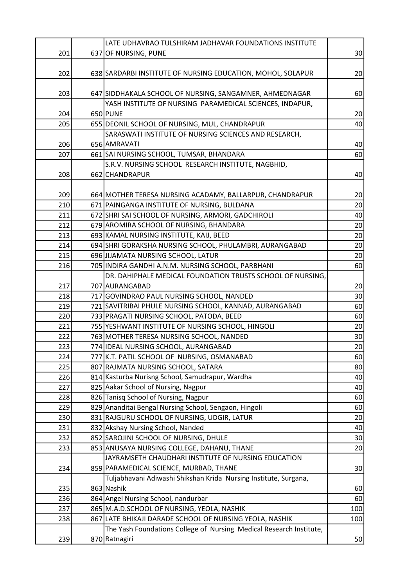|     | LATE UDHAVRAO TULSHIRAM JADHAVAR FOUNDATIONS INSTITUTE              |                 |
|-----|---------------------------------------------------------------------|-----------------|
| 201 | 637 OF NURSING, PUNE                                                | 30 <sup>°</sup> |
|     |                                                                     |                 |
| 202 | 638 SARDARBI INSTITUTE OF NURSING EDUCATION, MOHOL, SOLAPUR         | 20              |
|     |                                                                     |                 |
| 203 | 647 SIDDHAKALA SCHOOL OF NURSING, SANGAMNER, AHMEDNAGAR             | 60              |
|     | YASH INSTITUTE OF NURSING PARAMEDICAL SCIENCES, INDAPUR,            |                 |
| 204 | 650 PUNE                                                            | 20              |
| 205 | 655 DEONIL SCHOOL OF NURSING, MUL, CHANDRAPUR                       | 40              |
|     | SARASWATI INSTITUTE OF NURSING SCIENCES AND RESEARCH,               |                 |
| 206 | 656 AMRAVATI                                                        | 40              |
| 207 | 661 SAI NURSING SCHOOL, TUMSAR, BHANDARA                            | 60              |
|     | S.R.V. NURSING SCHOOL RESEARCH INSTITUTE, NAGBHID,                  |                 |
| 208 | 662 CHANDRAPUR                                                      | 40              |
|     |                                                                     |                 |
| 209 | 664 MOTHER TERESA NURSING ACADAMY, BALLARPUR, CHANDRAPUR            | 20 <sup>°</sup> |
| 210 | 671 PAINGANGA INSTITUTE OF NURSING, BULDANA                         | 20              |
| 211 | 672 SHRI SAI SCHOOL OF NURSING, ARMORI, GADCHIROLI                  | 40              |
| 212 | 679 AROMIRA SCHOOL OF NURSING, BHANDARA                             | 20              |
| 213 | 693 KAMAL NURSING INSTITUTE, KAIJ, BEED                             | 20              |
| 214 | 694 SHRI GORAKSHA NURSING SCHOOL, PHULAMBRI, AURANGABAD             | 20              |
| 215 | 696 JIJAMATA NURSING SCHOOL, LATUR                                  | 20              |
| 216 | 705 INDIRA GANDHI A.N.M. NURSING SCHOOL, PARBHANI                   | 60              |
|     | DR. DAHIPHALE MEDICAL FOUNDATION TRUSTS SCHOOL OF NURSING,          |                 |
| 217 | 707 AURANGABAD                                                      | 20              |
| 218 | 717 GOVINDRAO PAUL NURSING SCHOOL, NANDED                           | 30 <sup>°</sup> |
| 219 | 721 SAVITRIBAI PHULE NURSING SCHOOL, KANNAD, AURANGABAD             | 60              |
| 220 | 733 PRAGATI NURSING SCHOOL, PATODA, BEED                            | 60              |
| 221 | 755 YESHWANT INSTITUTE OF NURSING SCHOOL, HINGOLI                   | 20              |
|     |                                                                     |                 |
| 222 | 763 MOTHER TERESA NURSING SCHOOL, NANDED                            | 30 <sup>°</sup> |
| 223 | 774 IDEAL NURSING SCHOOL, AURANGABAD                                | 20              |
| 224 | 777 K.T. PATIL SCHOOL OF NURSING, OSMANABAD                         | 60              |
| 225 | 807 RAJMATA NURSING SCHOOL, SATARA                                  | 80              |
| 226 | 814 Kasturba Nurisng School, Samudrapur, Wardha                     | 40              |
| 227 | 825 Aakar School of Nursing, Nagpur                                 | 40              |
| 228 | 826 Tanisq School of Nursing, Nagpur                                | 60              |
| 229 | 829 Ananditai Bengal Nursing School, Sengaon, Hingoli               | 60              |
| 230 | 831 RAJGURU SCHOOL OF NURSING, UDGIR, LATUR                         | 20              |
| 231 | 832 Akshay Nursing School, Nanded                                   | 40              |
| 232 | 852 SAROJINI SCHOOL OF NURSING, DHULE                               | 30              |
| 233 | 853 ANUSAYA NURSING COLLEGE, DAHANU, THANE                          | 20              |
|     | JAYRAMSETH CHAUDHARI INSTITUTE OF NURSING EDUCATION                 |                 |
| 234 | 859 PARAMEDICAL SCIENCE, MURBAD, THANE                              | 30              |
|     | Tuljabhavani Adiwashi Shikshan Krida Nursing Institute, Surgana,    |                 |
| 235 | 863 Nashik                                                          | 60              |
| 236 | 864 Angel Nursing School, nandurbar                                 | 60              |
| 237 | 865 M.A.D.SCHOOL OF NURSING, YEOLA, NASHIK                          | 100             |
| 238 | 867 LATE BHIKAJI DARADE SCHOOL OF NURSING YEOLA, NASHIK             | 100             |
|     | The Yash Foundations College of Nursing Medical Research Institute, |                 |
| 239 | 870 Ratnagiri                                                       | 50              |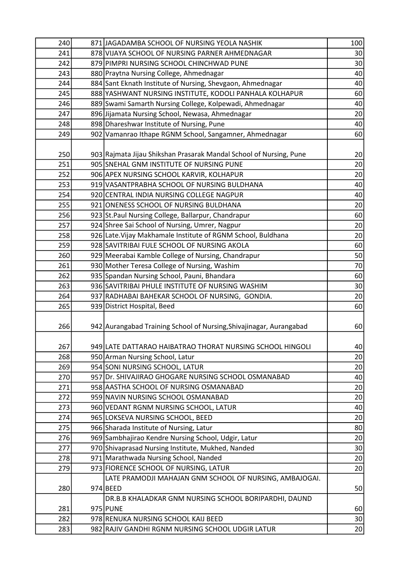| 240 | 871 JAGADAMBA SCHOOL OF NURSING YEOLA NASHIK                        | 100             |
|-----|---------------------------------------------------------------------|-----------------|
| 241 | 878 VIJAYA SCHOOL OF NURSING PARNER AHMEDNAGAR                      | 30              |
| 242 | 879 PIMPRI NURSING SCHOOL CHINCHWAD PUNE                            | 30              |
| 243 | 880 Praytna Nursing College, Ahmednagar                             | 40              |
| 244 | 884 Sant Eknath Institute of Nursing, Shevgaon, Ahmednagar          | 40              |
| 245 | 888 YASHWANT NURSING INSTITUTE, KODOLI PANHALA KOLHAPUR             | 60              |
| 246 | 889 Swami Samarth Nursing College, Kolpewadi, Ahmednagar            | 40              |
| 247 | 896 Jijamata Nursing School, Newasa, Ahmednagar                     | 20              |
| 248 | 898 Dhareshwar Institute of Nursing, Pune                           | 40              |
| 249 | 902 Vamanrao Ithape RGNM School, Sangamner, Ahmednagar              | 60              |
|     |                                                                     |                 |
| 250 | 903 Rajmata Jijau Shikshan Prasarak Mandal School of Nursing, Pune  | 20 <sup>°</sup> |
| 251 | 905 SNEHAL GNM INSTITUTE OF NURSING PUNE                            | 20              |
| 252 | 906 APEX NURSING SCHOOL KARVIR, KOLHAPUR                            | 20              |
| 253 | 919 VASANTPRABHA SCHOOL OF NURSING BULDHANA                         | 40              |
| 254 | 920 CENTRAL INDIA NURSING COLLEGE NAGPUR                            | 40              |
| 255 | 921 ONENESS SCHOOL OF NURSING BULDHANA                              | 20              |
| 256 | 923 St. Paul Nursing College, Ballarpur, Chandrapur                 | 60              |
| 257 | 924 Shree Sai School of Nursing, Umrer, Nagpur                      | 20              |
| 258 | 926 Late. Vijay Makhamale Institute of RGNM School, Buldhana        | 20              |
| 259 | 928 SAVITRIBAI FULE SCHOOL OF NURSING AKOLA                         | 60              |
| 260 | 929 Meerabai Kamble College of Nursing, Chandrapur                  | 50              |
| 261 | 930 Mother Teresa College of Nursing, Washim                        | 70              |
| 262 | 935 Spandan Nursing School, Pauni, Bhandara                         | 60              |
| 263 | 936 SAVITRIBAI PHULE INSTITUTE OF NURSING WASHIM                    | 30              |
| 264 | 937 RADHABAI BAHEKAR SCHOOL OF NURSING, GONDIA.                     | 20              |
| 265 | 939 District Hospital, Beed                                         | 60              |
|     |                                                                     |                 |
| 266 | 942 Aurangabad Training School of Nursing, Shivajinagar, Aurangabad | 60              |
|     |                                                                     |                 |
| 267 | 949 LATE DATTARAO HAIBATRAO THORAT NURSING SCHOOL HINGOLI           | 40              |
| 268 | 950 Arman Nursing School, Latur                                     | 20              |
| 269 | 954 SONI NURSING SCHOOL, LATUR                                      | 20              |
| 270 | 957 Dr. SHIVAJIRAO GHOGARE NURSING SCHOOL OSMANABAD                 | 40              |
| 271 | 958 AASTHA SCHOOL OF NURSING OSMANABAD                              | 20              |
| 272 | 959 NAVIN NURSING SCHOOL OSMANABAD                                  | 20              |
| 273 | 960 VEDANT RGNM NURSING SCHOOL, LATUR                               | 40              |
| 274 | 965 LOKSEVA NURSING SCHOOL, BEED                                    | 20              |
| 275 | 966 Sharada Institute of Nursing, Latur                             | 80              |
| 276 | 969 Sambhajirao Kendre Nursing School, Udgir, Latur                 | 20              |
| 277 | 970 Shivaprasad Nursing Institute, Mukhed, Nanded                   | 30              |
| 278 | 971 Marathwada Nursing School, Nanded                               | 20              |
| 279 | 973 FIORENCE SCHOOL OF NURSING, LATUR                               | 20              |
|     | LATE PRAMODJI MAHAJAN GNM SCHOOL OF NURSING, AMBAJOGAI.             |                 |
| 280 | 974 BEED                                                            | 50              |
|     | DR.B.B KHALADKAR GNM NURSING SCHOOL BORIPARDHI, DAUND               |                 |
| 281 | 975 PUNE                                                            | 60              |
| 282 | 978 RENUKA NURSING SCHOOL KAIJ BEED                                 | 30              |
| 283 | 982 RAJIV GANDHI RGNM NURSING SCHOOL UDGIR LATUR                    | 20              |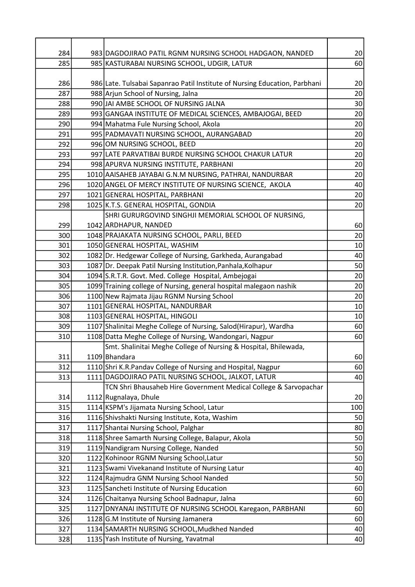| 284 | 983 DAGDOJIRAO PATIL RGNM NURSING SCHOOL HADGAON, NANDED                   | 20              |
|-----|----------------------------------------------------------------------------|-----------------|
| 285 | 985 KASTURABAI NURSING SCHOOL, UDGIR, LATUR                                | 60              |
|     |                                                                            |                 |
| 286 | 986 Late. Tulsabai Sapanrao Patil Institute of Nursing Education, Parbhani | 20 <sup>°</sup> |
| 287 | 988 Arjun School of Nursing, Jalna                                         | 20              |
| 288 | 990 JAI AMBE SCHOOL OF NURSING JALNA                                       | 30              |
| 289 | 993 GANGAA INSTITUTE OF MEDICAL SCIENCES, AMBAJOGAI, BEED                  | 20 <sup>°</sup> |
| 290 | 994 Mahatma Fule Nursing School, Akola                                     | 20              |
| 291 | 995 PADMAVATI NURSING SCHOOL, AURANGABAD                                   | 20 <sup>°</sup> |
| 292 | 996 OM NURSING SCHOOL, BEED                                                | 20              |
| 293 | 997 LATE PARVATIBAI BURDE NURSING SCHOOL CHAKUR LATUR                      | 20              |
| 294 | 998 APURVA NURSING INSTITUTE, PARBHANI                                     | 20              |
| 295 | 1010 AAISAHEB JAYABAI G.N.M NURSING, PATHRAI, NANDURBAR                    | 20              |
| 296 | 1020 ANGEL OF MERCY INSTITUTE OF NURSING SCIENCE, AKOLA                    | 40              |
| 297 | 1021 GENERAL HOSPITAL, PARBHANI                                            | 20              |
| 298 | 1025 K.T.S. GENERAL HOSPITAL, GONDIA                                       | 20              |
|     | SHRI GURURGOVIND SINGHJI MEMORIAL SCHOOL OF NURSING,                       |                 |
| 299 | 1042 ARDHAPUR, NANDED                                                      | 60              |
| 300 | 1048 PRAJAKATA NURSING SCHOOL, PARLI, BEED                                 | 20              |
| 301 | 1050 GENERAL HOSPITAL, WASHIM                                              | 10 <sup>1</sup> |
| 302 | 1082 Dr. Hedgewar College of Nursing, Garkheda, Aurangabad                 | 40              |
| 303 | 1087 Dr. Deepak Patil Nursing Institution, Panhala, Kolhapur               | 50              |
| 304 | 1094 S.R.T.R. Govt. Med. College Hospital, Ambejogai                       | 20 <sup>°</sup> |
| 305 | 1099 Training college of Nursing, general hospital malegaon nashik         | 20              |
| 306 | 1100 New Rajmata Jijau RGNM Nursing School                                 | 20              |
| 307 | 1101 GENERAL HOSPITAL, NANDURBAR                                           | 10 <sup>1</sup> |
| 308 | 1103 GENERAL HOSPITAL, HINGOLI                                             | 10 <sup>1</sup> |
| 309 | 1107 Shalinitai Meghe College of Nursing, Salod(Hirapur), Wardha           | 60              |
| 310 | 1108 Datta Meghe College of Nursing, Wandongari, Nagpur                    | 60              |
|     | Smt. Shalinitai Meghe College of Nursing & Hospital, Bhilewada,            |                 |
| 311 | 1109 Bhandara                                                              | 60              |
| 312 | 1110 Shri K.R.Pandav College of Nursing and Hospital, Nagpur               | 60              |
| 313 | 1111 DAGDOJIRAO PATIL NURSING SCHOOL, JALKOT, LATUR                        | 40              |
|     | TCN Shri Bhausaheb Hire Government Medical College & Sarvopachar           |                 |
| 314 | 1112 Rugnalaya, Dhule                                                      | 20 <sup>°</sup> |
| 315 | 1114 KSPM's Jijamata Nursing School, Latur                                 | 100             |
| 316 | 1116 Shivshakti Nursing Institute, Kota, Washim                            | 50              |
| 317 | 1117 Shantai Nursing School, Palghar                                       | 80              |
| 318 | 1118 Shree Samarth Nursing College, Balapur, Akola                         | 50              |
| 319 | 1119 Nandigram Nursing College, Nanded                                     | 50              |
| 320 | 1122 Kohinoor RGNM Nursing School, Latur                                   | 50              |
| 321 | 1123 Swami Vivekanand Institute of Nursing Latur                           | 40              |
| 322 | 1124 Rajmudra GNM Nursing School Nanded                                    | 50              |
| 323 | 1125 Sancheti Institute of Nursing Education                               | 60              |
| 324 | 1126 Chaitanya Nursing School Badnapur, Jalna                              | 60              |
| 325 | 1127 DNYANAI INSTITUTE OF NURSING SCHOOL Karegaon, PARBHANI                | 60              |
| 326 | 1128 G.M Institute of Nursing Jamanera                                     | 60              |
| 327 | 1134 SAMARTH NURSING SCHOOL, Mudkhed Nanded                                | 40              |
| 328 | 1135 Yash Institute of Nursing, Yavatmal                                   | 40              |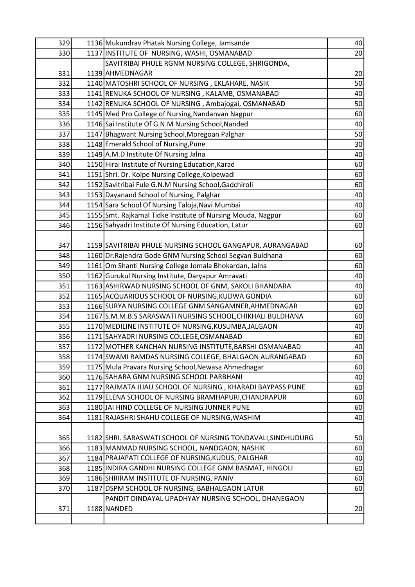| 329 | 1136 Mukundrav Phatak Nursing College, Jamsande              | 40              |
|-----|--------------------------------------------------------------|-----------------|
| 330 | 1137 INSTITUTE OF NURSING, WASHI, OSMANABAD                  | 20              |
|     | SAVITRIBAI PHULE RGNM NURSING COLLEGE, SHRIGONDA,            |                 |
| 331 | 1139 AHMEDNAGAR                                              | 20 <sup>°</sup> |
| 332 | 1140 MATOSHRI SCHOOL OF NURSING, EKLAHARE, NASIK             | 50              |
| 333 | 1141 RENUKA SCHOOL OF NURSING, KALAMB, OSMANABAD             | 40              |
| 334 | 1142 RENUKA SCHOOL OF NURSING, Ambajogai, OSMANABAD          | 50              |
| 335 | 1145 Med Pro College of Nursing, Nandanvan Nagpur            | 60              |
| 336 | 1146 Sai Institute Of G.N.M Nursing School, Nanded           | 40              |
| 337 | 1147 Bhagwant Nursing School, Moregoan Palghar               | 50              |
| 338 | 1148 Emerald School of Nursing, Pune                         | 30              |
| 339 | 1149 A.M.D Institute Of Nursing Jalna                        | 40              |
| 340 | 1150 Hirai Institute of Nursing Education, Karad             | 60              |
| 341 | 1151 Shri. Dr. Kolpe Nursing College, Kolpewadi              | 60              |
| 342 | 1152 Savitribai Fule G.N.M Nursing School, Gadchiroli        | 60              |
| 343 | 1153 Dayanand School of Nursing, Palghar                     | 40              |
| 344 | 1154 Sara School Of Nursing Taloja, Navi Mumbai              | 40              |
| 345 | 1155 Smt. Rajkamal Tidke Institute of Nursing Mouda, Nagpur  | 60              |
| 346 | 1156 Sahyadri Institute Of Nursing Education, Latur          | 60              |
|     |                                                              |                 |
| 347 | 1159 SAVITRIBAI PHULE NURSING SCHOOL GANGAPUR, AURANGABAD    | 60              |
| 348 | 1160 Dr. Rajendra Gode GNM Nursing School Segvan Buldhana    | 60              |
| 349 | 1161 Om Shanti Nursing College Jomala Bhokardan, Jalna       | 60              |
| 350 | 1162 Gurukul Nursing Institute, Daryapur Amravati            | 40              |
| 351 | 1163 ASHIRWAD NURSING SCHOOL OF GNM, SAKOLI BHANDARA         | 40              |
| 352 | 1165 ACQUARIOUS SCHOOL OF NURSING, KUDWA GONDIA              | 60              |
| 353 | 1166 SURYA NURSING COLLEGE GNM SANGAMNER, AHMEDNAGAR         | 60              |
| 354 | 1167 S.M.M.B.S SARASWATI NURSING SCHOOL, CHIKHALI BULDHANA   | 60              |
| 355 | 1170 MEDILINE INSTITUTE OF NURSING, KUSUMBA, JALGAON         | 40              |
| 356 | 1171 SAHYADRI NURSING COLLEGE, OSMANABAD                     | 60              |
| 357 | 1172 MOTHER KANCHAN NURSING INSTITUTE, BARSHI OSMANABAD      | 40              |
| 358 | 1174 SWAMI RAMDAS NURSING COLLEGE, BHALGAON AURANGABAD       | 60              |
| 359 | 1175 Mula Pravara Nursing School, Newasa Ahmednagar          | 60              |
| 360 | 1176 SAHARA GNM NURSING SCHOOL PARBHANI                      | 40              |
| 361 | 1177 RAJMATA JIJAU SCHOOL OF NURSING, KHARADI BAYPASS PUNE   | 60              |
| 362 | 1179 ELENA SCHOOL OF NURSING BRAMHAPURI, CHANDRAPUR          | 60              |
| 363 | 1180 JAI HIND COLLEGE OF NURSING JUNNER PUNE                 | 60              |
| 364 | 1181 RAJASHRI SHAHU COLLEGE OF NURSING, WASHIM               | 40              |
|     |                                                              |                 |
| 365 | 1182 SHRI. SARASWATI SCHOOL OF NURSING TONDAVALI, SINDHUDURG | 50              |
| 366 | 1183 MANMAD NURSING SCHOOL, NANDGAON, NASHIK                 | 60              |
| 367 | 1184 PRAJAPATI COLLEGE OF NURSING, KUDUS, PALGHAR            | 40              |
| 368 | 1185 INDIRA GANDHI NURSING COLLEGE GNM BASMAT, HINGOLI       | 60              |
| 369 | 1186 SHRIRAM INSTITUTE OF NURSING, PANIV                     | 60              |
| 370 | 1187 DSPM SCHOOL OF NURSING, BABHALGAON LATUR                | 60              |
|     | PANDIT DINDAYAL UPADHYAY NURSING SCHOOL, DHANEGAON           |                 |
| 371 | 1188 NANDED                                                  | 20              |
|     |                                                              |                 |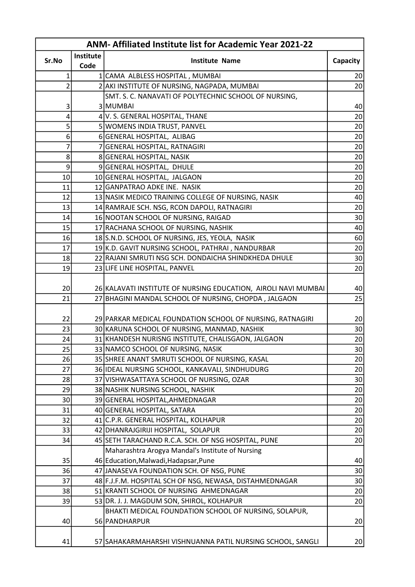| <b>ANM-Affiliated Institute list for Academic Year 2021-22</b> |           |                                                                                           |                 |  |
|----------------------------------------------------------------|-----------|-------------------------------------------------------------------------------------------|-----------------|--|
|                                                                | Institute |                                                                                           |                 |  |
| Sr.No                                                          | Code      | <b>Institute Name</b>                                                                     | Capacity        |  |
| 1                                                              |           | 1 CAMA ALBLESS HOSPITAL, MUMBAI                                                           | 20 <sup>°</sup> |  |
| 2                                                              |           | 2 AKI INSTITUTE OF NURSING, NAGPADA, MUMBAI                                               | 20              |  |
|                                                                |           | SMT. S. C. NANAVATI OF POLYTECHNIC SCHOOL OF NURSING,                                     |                 |  |
| 3                                                              |           | 3 MUMBAI                                                                                  | 40              |  |
| 4                                                              |           | 4 V. S. GENERAL HOSPITAL, THANE                                                           | 20              |  |
| 5                                                              |           | 5 WOMENS INDIA TRUST, PANVEL                                                              | 20              |  |
| 6                                                              |           | 6 GENERAL HOSPITAL, ALIBAG                                                                | 20              |  |
| 7                                                              |           | 7 GENERAL HOSPITAL, RATNAGIRI                                                             | 20              |  |
| 8                                                              |           | 8 GENERAL HOSPITAL, NASIK                                                                 | 20 <sup>°</sup> |  |
| 9                                                              |           | 9 GENERAL HOSPITAL, DHULE                                                                 | 20              |  |
| 10                                                             |           | 10 GENERAL HOSPITAL, JALGAON                                                              | 20 <sup>°</sup> |  |
| 11                                                             |           | 12 GANPATRAO ADKE INE. NASIK                                                              | 20              |  |
| 12                                                             |           | 13 NASIK MEDICO TRAINING COLLEGE OF NURSING, NASIK                                        | 40              |  |
| 13                                                             |           | 14 RAMRAJE SCH. NSG, RCON DAPOLI, RATNAGIRI                                               | 20              |  |
| 14                                                             |           | 16 NOOTAN SCHOOL OF NURSING, RAIGAD                                                       | 30              |  |
| 15                                                             |           | 17 RACHANA SCHOOL OF NURSING, NASHIK                                                      | 40              |  |
| 16                                                             |           | 18 S.N.D. SCHOOL OF NURSING, JES, YEOLA, NASIK                                            | 60              |  |
| 17                                                             |           | 19 K.D. GAVIT NURSING SCHOOL, PATHRAI, NANDURBAR                                          | 20              |  |
| 18                                                             |           | 22 RAJANI SMRUTI NSG SCH. DONDAICHA SHINDKHEDA DHULE                                      | 30 <sup>°</sup> |  |
| 19                                                             |           | 23 LIFE LINE HOSPITAL, PANVEL                                                             | 20              |  |
|                                                                |           |                                                                                           |                 |  |
| 20                                                             |           | 26 KALAVATI INSTITUTE OF NURSING EDUCATION, AIROLI NAVI MUMBAI                            | 40              |  |
| 21                                                             |           | 27 BHAGINI MANDAL SCHOOL OF NURSING, CHOPDA , JALGAON                                     | 25              |  |
|                                                                |           |                                                                                           |                 |  |
| 22                                                             |           | 29 PARKAR MEDICAL FOUNDATION SCHOOL OF NURSING, RATNAGIRI                                 | 20              |  |
| 23                                                             |           | 30 KARUNA SCHOOL OF NURSING, MANMAD, NASHIK                                               | 30              |  |
| 24                                                             |           | 31 KHANDESH NURISNG INSTITUTE, CHALISGAON, JALGAON                                        | 20              |  |
| 25                                                             |           | 33 NAMCO SCHOOL OF NURSING, NASIK                                                         | 30              |  |
| 26                                                             |           | 35 SHREE ANANT SMRUTI SCHOOL OF NURSING, KASAL                                            | 20              |  |
| 27                                                             |           | 36 IDEAL NURSING SCHOOL, KANKAVALI, SINDHUDURG                                            | 20              |  |
| 28                                                             |           | 37 VISHWASATTAYA SCHOOL OF NURSING, OZAR                                                  | 30              |  |
| 29                                                             |           | 38 NASHIK NURSING SCHOOL, NASHIK                                                          | 20              |  |
| 30                                                             |           | 39 GENERAL HOSPITAL, AHMEDNAGAR                                                           | 20              |  |
| 31                                                             |           | 40 GENERAL HOSPITAL, SATARA                                                               | 20              |  |
| 32                                                             |           | 41 C.P.R. GENERAL HOSPITAL, KOLHAPUR                                                      | 20              |  |
| 33                                                             |           | 42 DHANRAJGIRIJI HOSPITAL, SOLAPUR                                                        | 20              |  |
| 34                                                             |           | 45 SETH TARACHAND R.C.A. SCH. OF NSG HOSPITAL, PUNE                                       | 20              |  |
| 35                                                             |           | Maharashtra Arogya Mandal's Institute of Nursing<br>46 Education, Malwadi, Hadapsar, Pune |                 |  |
| 36                                                             |           | 47 JANASEVA FOUNDATION SCH. OF NSG, PUNE                                                  | 40<br>30        |  |
| 37                                                             |           | 48 F.J.F.M. HOSPITAL SCH OF NSG, NEWASA, DISTAHMEDNAGAR                                   | 30              |  |
| 38                                                             |           | 51 KRANTI SCHOOL OF NURSING AHMEDNAGAR                                                    | 20              |  |
| 39                                                             |           | 53 DR. J. J. MAGDUM SON, SHIROL, KOLHAPUR                                                 | 20              |  |
|                                                                |           | BHAKTI MEDICAL FOUNDATION SCHOOL OF NURSING, SOLAPUR,                                     |                 |  |
| 40                                                             |           | 56 PANDHARPUR                                                                             | 20              |  |
|                                                                |           |                                                                                           |                 |  |
| 41                                                             |           | 57 SAHAKARMAHARSHI VISHNUANNA PATIL NURSING SCHOOL, SANGLI                                | 20              |  |
|                                                                |           |                                                                                           |                 |  |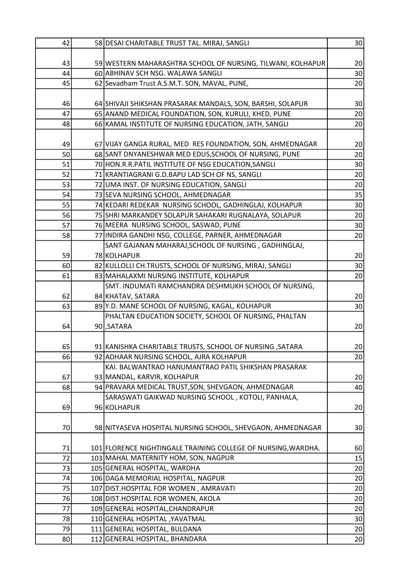| 42 | 58 DESAI CHARITABLE TRUST TAL. MIRAJ, SANGLI                  | 30              |
|----|---------------------------------------------------------------|-----------------|
|    |                                                               |                 |
| 43 | 59 WESTERN MAHARASHTRA SCHOOL OF NURSING, TILWANI, KOLHAPUR   | 20              |
| 44 | 60 ABHINAV SCH NSG. WALAWA SANGLI                             | 30 <sup>°</sup> |
| 45 | 62 Sevadham Trust A.S.M.T. SON, MAVAL, PUNE,                  | 20              |
|    |                                                               |                 |
| 46 | 64 SHIVAJI SHIKSHAN PRASARAK MANDALS, SON, BARSHI, SOLAPUR    | 30 <sup>°</sup> |
| 47 | 65 ANAND MEDICAL FOUNDATION, SON, KURULI, KHED, PUNE          | 20              |
| 48 | 66 KAMAL INSTITUTE OF NURSING EDUCATION, JATH, SANGLI         | 20              |
|    |                                                               |                 |
| 49 | 67 VIJAY GANGA RURAL, MED RES FOUNDATION, SON, AHMEDNAGAR     | 20 <sup>°</sup> |
| 50 | 68 SANT DNYANESHWAR MED EDUS, SCHOOL OF NURSING, PUNE         | 20              |
| 51 | 70 HON.R.R.PATIL INSTITUTE OF NSG EDUCATION, SANGLI           | 30              |
| 52 | 71 KRANTIAGRANI G.D.BAPU LAD SCH OF NS, SANGLI                | 20              |
| 53 | 72 UMA INST. OF NURSING EDUCATION, SANGLI                     | 20              |
| 54 | 73 SEVA NURSING SCHOOL, AHMEDNAGAR                            | 35              |
| 55 | 74 KEDARI REDEKAR NURSING SCHOOL, GADHINGLAJ, KOLHAPUR        | 30              |
| 56 | 75 SHRI MARKANDEY SOLAPUR SAHAKARI RUGNALAYA, SOLAPUR         | 20              |
| 57 | 76 MEERA NURSING SCHOOL, SASWAD, PUNE                         | 30              |
| 58 | 77 INDIRA GANDHI NSG, COLLEGE, PARNER, AHMEDNAGAR             | 20              |
|    | SANT GAJANAN MAHARAJ, SCHOOL OF NURSING, GADHINGLAJ,          |                 |
| 59 | 78 KOLHAPUR                                                   | 20 <sup>°</sup> |
| 60 | 82 KULLOLLI CH. TRUSTS, SCHOOL OF NURSING, MIRAJ, SANGLI      | 30 <sup>°</sup> |
| 61 | 83 MAHALAXMI NURSING INSTITUTE, KOLHAPUR                      | 20              |
|    | SMT. INDUMATI RAMCHANDRA DESHMUKH SCHOOL OF NURSING,          |                 |
| 62 | 84 KHATAV, SATARA                                             | 20              |
| 63 | 89 Y.D. MANE SCHOOL OF NURSING, KAGAL, KOLHAPUR               | 30              |
|    | PHALTAN EDUCATION SOCIETY, SCHOOL OF NURSING, PHALTAN         |                 |
| 64 | 90 SATARA                                                     | 20              |
|    |                                                               |                 |
| 65 | 91 KANISHKA CHARITABLE TRUSTS, SCHOOL OF NURSING, SATARA      | 20              |
| 66 | 92 ADHAAR NURSING SCHOOL, AJRA KOLHAPUR                       | 20              |
|    | KAI. BALWANTRAO HANUMANTRAO PATIL SHIKSHAN PRASARAK           |                 |
| 67 | 93 MANDAL, KARVIR, KOLHAPUR                                   | 20 <sub>2</sub> |
| 68 | 94 PRAVARA MEDICAL TRUST, SON, SHEVGAON, AHMEDNAGAR           | 40              |
|    | SARASWATI GAIKWAD NURSING SCHOOL, KOTOLI, PANHALA,            |                 |
| 69 | 96 KOLHAPUR                                                   | 20              |
|    |                                                               |                 |
| 70 | 98 NITYASEVA HOSPITAL NURSING SCHOOL, SHEVGAON, AHMEDNAGAR    | 30              |
|    |                                                               |                 |
| 71 | 101 FLORENCE NIGHTINGALE TRAINING COLLEGE OF NURSING, WARDHA. | 60              |
| 72 | 103 MAHAL MATERNITY HOM, SON, NAGPUR                          | 15              |
| 73 | 105 GENERAL HOSPITAL, WARDHA                                  | 20              |
| 74 | 106 DAGA MEMORIAL HOSPITAL, NAGPUR                            | 20              |
| 75 | 107 DIST.HOSPITAL FOR WOMEN, AMRAVATI                         | 20              |
| 76 | 108 DIST.HOSPITAL FOR WOMEN, AKOLA                            | 20              |
| 77 | 109 GENERAL HOSPITAL, CHANDRAPUR                              | 20              |
| 78 | 110 GENERAL HOSPITAL, YAVATMAL                                | 30              |
| 79 | 111 GENERAL HOSPITAL, BULDANA                                 | 20              |
| 80 | 112 GENERAL HOSPITAL, BHANDARA                                | 20              |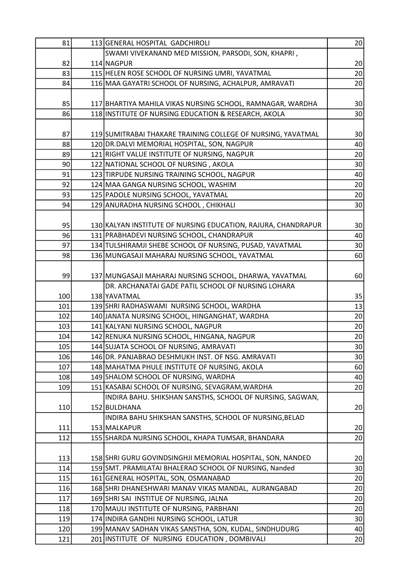| 81  | 113 GENERAL HOSPITAL GADCHIROLI                               | 20              |
|-----|---------------------------------------------------------------|-----------------|
|     | SWAMI VIVEKANAND MED MISSION, PARSODI, SON, KHAPRI,           |                 |
| 82  | 114 NAGPUR                                                    | 20              |
| 83  | 115 HELEN ROSE SCHOOL OF NURSING UMRI, YAVATMAL               | 20              |
| 84  | 116 MAA GAYATRI SCHOOL OF NURSING, ACHALPUR, AMRAVATI         | 20              |
|     |                                                               |                 |
| 85  | 117 BHARTIYA MAHILA VIKAS NURSING SCHOOL, RAMNAGAR, WARDHA    | 30 <sup>°</sup> |
| 86  | 118 INSTITUTE OF NURSING EDUCATION & RESEARCH, AKOLA          | 30              |
|     |                                                               |                 |
| 87  | 119 SUMITRABAI THAKARE TRAINING COLLEGE OF NURSING, YAVATMAL  | 30              |
| 88  | 120 DR. DALVI MEMORIAL HOSPITAL, SON, NAGPUR                  | 40              |
| 89  | 121 RIGHT VALUE INSTITUTE OF NURSING, NAGPUR                  | 20              |
| 90  | 122 NATIONAL SCHOOL OF NURSING, AKOLA                         | 30 <sup>°</sup> |
| 91  | 123 TIRPUDE NURSING TRAINING SCHOOL, NAGPUR                   | 40              |
| 92  | 124 MAA GANGA NURSING SCHOOL, WASHIM                          | 20              |
| 93  | 125 PADOLE NURSING SCHOOL, YAVATMAL                           | 20 <sup>°</sup> |
| 94  | 129 ANURADHA NURSING SCHOOL, CHIKHALI                         | 30              |
|     |                                                               |                 |
| 95  | 130 KALYAN INSTITUTE OF NURSING EDUCATION, RAJURA, CHANDRAPUR | 30              |
| 96  | 131 PRABHADEVI NURSING SCHOOL, CHANDRAPUR                     | 40              |
| 97  | 134 TULSHIRAMJI SHEBE SCHOOL OF NURSING, PUSAD, YAVATMAL      | 30              |
| 98  | 136 MUNGASAJI MAHARAJ NURSING SCHOOL, YAVATMAL                | 60              |
|     |                                                               |                 |
| 99  | 137 MUNGASAJI MAHARAJ NURSING SCHOOL, DHARWA, YAVATMAL        | 60              |
|     | DR. ARCHANATAI GADE PATIL SCHOOL OF NURSING LOHARA            |                 |
| 100 | 138 YAVATMAL                                                  | 35              |
| 101 | 139 SHRI RADHASWAMI NURSING SCHOOL, WARDHA                    | 13              |
| 102 | 140 JANATA NURSING SCHOOL, HINGANGHAT, WARDHA                 | 20              |
| 103 | 141 KALYANI NURSING SCHOOL, NAGPUR                            | 20 <sup>°</sup> |
| 104 | 142 RENUKA NURSING SCHOOL, HINGANA, NAGPUR                    | 20              |
| 105 | 144 SUJATA SCHOOL OF NURSING, AMRAVATI                        | 30              |
| 106 | 146 DR. PANJABRAO DESHMUKH INST. OF NSG. AMRAVATI             | 30              |
| 107 | 148 MAHATMA PHULE INSTITUTE OF NURSING, AKOLA                 | 60              |
| 108 | 149 SHALOM SCHOOL OF NURSING, WARDHA                          | 40              |
| 109 | 151 KASABAI SCHOOL OF NURSING, SEVAGRAM, WARDHA               | 20              |
|     | INDIRA BAHU. SHIKSHAN SANSTHS, SCHOOL OF NURSING, SAGWAN,     |                 |
| 110 | 152 BULDHANA                                                  | 20 <sup>°</sup> |
|     | INDIRA BAHU SHIKSHAN SANSTHS, SCHOOL OF NURSING, BELAD        |                 |
| 111 | 153 MALKAPUR                                                  | 20 <sub>2</sub> |
| 112 | 155 SHARDA NURSING SCHOOL, KHAPA TUMSAR, BHANDARA             | 20              |
|     |                                                               |                 |
| 113 | 158 SHRI GURU GOVINDSINGHJI MEMORIAL HOSPITAL, SON, NANDED    | 20              |
| 114 | 159 SMT. PRAMILATAI BHALERAO SCHOOL OF NURSING, Nanded        | 30              |
| 115 | 161 GENERAL HOSPITAL, SON, OSMANABAD                          | 20              |
| 116 | 168 SHRI DHANESHWARI MANAV VIKAS MANDAL, AURANGABAD           | 20              |
| 117 | 169 SHRI SAI INSTITUE OF NURSING, JALNA                       | 20              |
| 118 | 170 MAULI INSTITUTE OF NURSING, PARBHANI                      | 20              |
| 119 | 174 INDIRA GANDHI NURSING SCHOOL, LATUR                       | 30              |
| 120 | 199 MANAV SADHAN VIKAS SANSTHA, SON, KUDAL, SINDHUDURG        | 40              |
| 121 | 201 INSTITUTE OF NURSING EDUCATION, DOMBIVALI                 | 20              |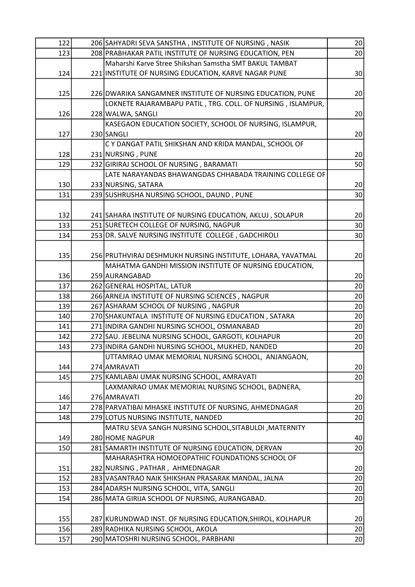| 122 | 206 SAHYADRI SEVA SANSTHA, INSTITUTE OF NURSING, NASIK      | 20              |
|-----|-------------------------------------------------------------|-----------------|
| 123 | 208 PRABHAKAR PATIL INSTITUTE OF NURSING EDUCATION, PEN     | 20              |
|     | Maharshi Karve Stree Shikshan Samstha SMT BAKUL TAMBAT      |                 |
| 124 | 221 INSTITUTE OF NURSING EDUCATION, KARVE NAGAR PUNE        | 30 <sup>°</sup> |
|     |                                                             |                 |
| 125 | 226 DWARIKA SANGAMNER INSTITUTE OF NURSING EDUCATION, PUNE  | 20              |
|     | LOKNETE RAJARAMBAPU PATIL, TRG. COLL. OF NURSING, ISLAMPUR, |                 |
| 126 | 228 WALWA, SANGLI                                           | 20              |
|     | KASEGAON EDUCATION SOCIETY, SCHOOL OF NURSING, ISLAMPUR,    |                 |
| 127 | 230 SANGLI                                                  | 20 <sup>°</sup> |
|     | C Y DANGAT PATIL SHIKSHAN AND KRIDA MANDAL, SCHOOL OF       |                 |
| 128 | 231 NURSING, PUNE                                           | 20              |
| 129 | 232 GIRIRAJ SCHOOL OF NURSING, BARAMATI                     | 50              |
|     | LATE NARAYANDAS BHAWANGDAS CHHABADA TRAINING COLLEGE OF     |                 |
| 130 | 233 NURSING, SATARA                                         | 20              |
| 131 | 239 SUSHRUSHA NURSING SCHOOL, DAUND, PUNE                   | 30              |
|     |                                                             |                 |
| 132 | 241 SAHARA INSTITUTE OF NURSING EDUCATION, AKLUJ, SOLAPUR   | 20 <sup>°</sup> |
| 133 | 251 SURETECH COLLEGE OF NURSING, NAGPUR                     | 30 <sup>2</sup> |
| 134 | 253 DR. SALVE NURSING INSTITUTE COLLEGE, GADCHIROLI         | 30 <sup>2</sup> |
|     |                                                             |                 |
| 135 | 256 PRUTHVIRAJ DESHMUKH NURSING INSTITUTE, LOHARA, YAVATMAL | 20              |
|     | MAHATMA GANDHI MISSION INSTITUTE OF NURSING EDUCATION,      |                 |
| 136 | 259 AURANGABAD                                              | 20              |
| 137 | 262 GENERAL HOSPITAL, LATUR                                 | 20              |
| 138 | 266 ARNEJA INSTITUTE OF NURSING SCIENCES, NAGPUR            | 20              |
| 139 | 267 ASHARAM SCHOOL OF NURSING, NAGPUR                       | 20              |
| 140 | 270 SHAKUNTALA INSTITUTE OF NURSING EDUCATION, SATARA       | 20              |
| 141 | 271 INDIRA GANDHI NURSING SCHOOL, OSMANABAD                 | 20              |
| 142 | 272 SAU. JEBELINA NURSING SCHOOL, GARGOTI, KOLHAPUR         | 20              |
| 143 | 273 INDIRA GANDHI NURSING SCHOOL, MUKHED, NANDED            | 20              |
|     | UTTAMRAO UMAK MEMORIAL NURSING SCHOOL, ANJANGAON,           |                 |
| 144 | 274 AMRAVATI                                                | 20 <sup>°</sup> |
| 145 | 275 KAMLABAI UMAK NURSING SCHOOL, AMRAVATI                  | 20              |
|     | LAXMANRAO UMAK MEMORIAL NURSING SCHOOL, BADNERA,            |                 |
| 146 | 276 AMRAVATI                                                | 20 <sub>2</sub> |
| 147 | 278 PARVATIBAI MHASKE INSTITUTE OF NURSING, AHMEDNAGAR      | 20              |
| 148 | 279 LOTUS NURSING INSTITUTE, NANDED                         | 20              |
|     | MATRU SEVA SANGH NURSING SCHOOL, SITABULDI, MATERNITY       |                 |
| 149 | 280 HOME NAGPUR                                             | 40              |
| 150 | 281 SAMARTH INSTITUTE OF NURSING EDUCATION, DERVAN          | 20              |
|     | MAHARASHTRA HOMOEOPATHIC FOUNDATIONS SCHOOL OF              |                 |
| 151 | 282 NURSING, PATHAR, AHMEDNAGAR                             | 20              |
| 152 | 283 VASANTRAO NAIK SHIKSHAN PRASARAK MANDAL, JALNA          | 20              |
| 153 | 284 ADARSH NURSING SCHOOL, VITA, SANGLI                     | 20              |
| 154 | 286 MATA GIRIJA SCHOOL OF NURSING, AURANGABAD.              | 20              |
|     |                                                             |                 |
| 155 | 287 KURUNDWAD INST. OF NURSING EDUCATION, SHIROL, KOLHAPUR  | 20              |
| 156 | 289 RADHIKA NURSING SCHOOL, AKOLA                           | 20              |
| 157 | 290 MATOSHRI NURSING SCHOOL, PARBHANI                       | 20              |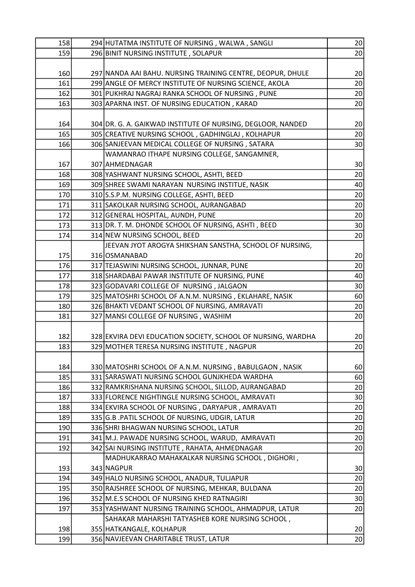| 158 | 294 HUTATMA INSTITUTE OF NURSING, WALWA, SANGLI              | 20              |
|-----|--------------------------------------------------------------|-----------------|
| 159 | 296 BINIT NURSING INSTITUTE, SOLAPUR                         | 20              |
|     |                                                              |                 |
| 160 | 297 NANDA AAI BAHU. NURSING TRAINING CENTRE, DEOPUR, DHULE   | 20              |
| 161 | 299 ANGLE OF MERCY INSTITUTE OF NURSING SCIENCE, AKOLA       | 20              |
| 162 | 301 PUKHRAJ NAGRAJ RANKA SCHOOL OF NURSING, PUNE             | 20              |
| 163 | 303 APARNA INST. OF NURSING EDUCATION, KARAD                 | 20              |
|     |                                                              |                 |
| 164 | 304 DR. G. A. GAIKWAD INSTITUTE OF NURSING, DEGLOOR, NANDED  | 20              |
| 165 | 305 CREATIVE NURSING SCHOOL, GADHINGLAJ, KOLHAPUR            | 20              |
| 166 | 306 SANJEEVAN MEDICAL COLLEGE OF NURSING, SATARA             | 30              |
|     | WAMANRAO ITHAPE NURSING COLLEGE, SANGAMNER,                  |                 |
| 167 | 307 AHMEDNAGAR                                               | 30              |
| 168 | 308 YASHWANT NURSING SCHOOL, ASHTI, BEED                     | 20              |
| 169 | 309 SHREE SWAMI NARAYAN NURSING INSTITUE, NASIK              | 40              |
| 170 | 310 S.S.P.M. NURSING COLLEGE, ASHTI, BEED                    | 20              |
| 171 | 311 SAKOLKAR NURSING SCHOOL, AURANGABAD                      | 20              |
| 172 | 312 GENERAL HOSPITAL, AUNDH, PUNE                            | 20              |
| 173 | 313 DR. T. M. DHONDE SCHOOL OF NURSING, ASHTI, BEED          | 30 <sup>°</sup> |
| 174 | 314 NEW NURSING SCHOOL, BEED                                 | 20              |
|     | JEEVAN JYOT AROGYA SHIKSHAN SANSTHA, SCHOOL OF NURSING,      |                 |
| 175 | 316 OSMANABAD                                                | 20              |
| 176 | 317 TEJASWINI NURSING SCHOOL, JUNNAR, PUNE                   | 20              |
| 177 | 318 SHARDABAI PAWAR INSTITUTE OF NURSING, PUNE               | 40              |
| 178 | 323 GODAVARI COLLEGE OF NURSING, JALGAON                     | 30 <sup>°</sup> |
| 179 | 325 MATOSHRI SCHOOL OF A.N.M. NURSING, EKLAHARE, NASIK       | 60              |
| 180 | 326 BHAKTI VEDANT SCHOOL OF NURSING, AMRAVATI                | 20              |
| 181 | 327 MANSI COLLEGE OF NURSING, WASHIM                         | 20              |
|     |                                                              |                 |
| 182 | 328 EKVIRA DEVI EDUCATION SOCIETY, SCHOOL OF NURSING, WARDHA | 20              |
| 183 | 329 MOTHER TERESA NURSING INSTITUTE, NAGPUR                  | 20              |
|     |                                                              |                 |
| 184 | 330 MATOSHRI SCHOOL OF A.N.M. NURSING, BABULGAON, NASIK      | 60              |
| 185 | 331 SARASWATI NURSING SCHOOL GUNJKHEDA WARDHA                | 60              |
| 186 | 332 RAMKRISHANA NURSING SCHOOL, SILLOD, AURANGABAD           | 20              |
| 187 | 333 FLORENCE NIGHTINGLE NURSING SCHOOL, AMRAVATI             | 30              |
| 188 | 334 EKVIRA SCHOOL OF NURSING, DARYAPUR, AMRAVATI             | 20              |
| 189 | 335 G.B .PATIL SCHOOL OF NURSING, UDGIR, LATUR               | 20              |
| 190 | 336 SHRI BHAGWAN NURSING SCHOOL, LATUR                       | 20              |
| 191 | 341 M.J. PAWADE NURSING SCHOOL, WARUD, AMRAVATI              | 20              |
| 192 | 342 SAI NURSING INSTITUTE, RAHATA, AHMEDNAGAR                | 20              |
|     | MADHUKARRAO MAHAKALKAR NURSING SCHOOL, DIGHORI,              |                 |
| 193 | 343 NAGPUR                                                   | 30              |
| 194 | 349 HALO NURSING SCHOOL, ANADUR, TULJAPUR                    | 20              |
| 195 | 350 RAJSHREE SCHOOL OF NURSING, MEHKAR, BULDANA              | 20              |
| 196 | 352 M.E.S SCHOOL OF NURSING KHED RATNAGIRI                   | 30              |
| 197 | 353 YASHWANT NURSING TRAINING SCHOOL, AHMADPUR, LATUR        | 20              |
|     | SAHAKAR MAHARSHI TATYASHEB KORE NURSING SCHOOL,              |                 |
| 198 | 355 HATKANGALE, KOLHAPUR                                     | 20              |
| 199 | 356 NAVJEEVAN CHARITABLE TRUST, LATUR                        | 20 <sup>°</sup> |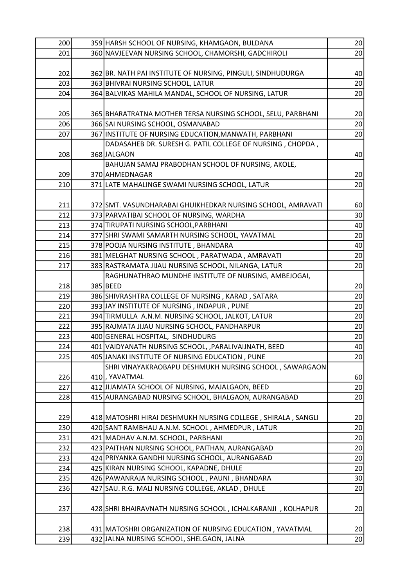| 200 | 359 HARSH SCHOOL OF NURSING, KHAMGAON, BULDANA               | 20              |
|-----|--------------------------------------------------------------|-----------------|
| 201 | 360 NAVJEEVAN NURSING SCHOOL, CHAMORSHI, GADCHIROLI          | 20              |
|     |                                                              |                 |
| 202 | 362 BR. NATH PAI INSTITUTE OF NURSING, PINGULI, SINDHUDURGA  | 40              |
| 203 | 363 BHIVRAI NURSING SCHOOL, LATUR                            | 20              |
| 204 | 364 BALVIKAS MAHILA MANDAL, SCHOOL OF NURSING, LATUR         | 20              |
|     |                                                              |                 |
| 205 | 365 BHARATRATNA MOTHER TERSA NURSING SCHOOL, SELU, PARBHANI  | 20 <sub>2</sub> |
| 206 | 366 SAI NURSING SCHOOL, OSMANABAD                            | 20              |
| 207 | 367 INSTITUTE OF NURSING EDUCATION, MANWATH, PARBHANI        | 20              |
|     | DADASAHEB DR. SURESH G. PATIL COLLEGE OF NURSING, CHOPDA,    |                 |
| 208 | 368 JALGAON                                                  | 40              |
|     | BAHUJAN SAMAJ PRABODHAN SCHOOL OF NURSING, AKOLE,            |                 |
| 209 | 370 AHMEDNAGAR                                               | 20 <sup>°</sup> |
| 210 | 371 LATE MAHALINGE SWAMI NURSING SCHOOL, LATUR               | 20              |
|     |                                                              |                 |
| 211 | 372 SMT. VASUNDHARABAI GHUIKHEDKAR NURSING SCHOOL, AMRAVATI  | 60              |
| 212 | 373 PARVATIBAI SCHOOL OF NURSING, WARDHA                     | 30              |
| 213 | 374 TIRUPATI NURSING SCHOOL, PARBHANI                        | 40              |
| 214 | 377 SHRI SWAMI SAMARTH NURSING SCHOOL, YAVATMAL              | 20              |
| 215 | 378 POOJA NURSING INSTITUTE, BHANDARA                        | 40              |
| 216 | 381 MELGHAT NURSING SCHOOL, PARATWADA, AMRAVATI              | 20              |
| 217 | 383 RASTRAMATA JIJAU NURSING SCHOOL, NILANGA, LATUR          | 20              |
|     | RAGHUNATHRAO MUNDHE INSTITUTE OF NURSING, AMBEJOGAI,         |                 |
| 218 | 385 BEED                                                     | 20 <sup>°</sup> |
| 219 | 386 SHIVRASHTRA COLLEGE OF NURSING, KARAD, SATARA            | 20              |
| 220 | 393 JAY INSTITUTE OF NURSING, INDAPUR, PUNE                  | 20              |
| 221 | 394 TIRMULLA A.N.M. NURSING SCHOOL, JALKOT, LATUR            | 20              |
| 222 | 395 RAJMATA JIJAU NURSING SCHOOL, PANDHARPUR                 | 20 <sup>°</sup> |
| 223 | 400 GENERAL HOSPITAL, SINDHUDURG                             | 20              |
| 224 | 401 VAIDYANATH NURSING SCHOOL, ,PARALIVAIJNATH, BEED         | 40 <sup>1</sup> |
| 225 | 405 JANAKI INSTITUTE OF NURSING EDUCATION, PUNE              | 20              |
|     | SHRI VINAYAKRAOBAPU DESHMUKH NURSING SCHOOL, SAWARGAON       |                 |
| 226 | 410, YAVATMAL                                                | 60              |
| 227 | 412 JIJAMATA SCHOOL OF NURSING, MAJALGAON, BEED              | 20              |
| 228 | 415 AURANGABAD NURSING SCHOOL, BHALGAON, AURANGABAD          | 20              |
|     |                                                              |                 |
| 229 | 418 MATOSHRI HIRAI DESHMUKH NURSING COLLEGE, SHIRALA, SANGLI | 20              |
| 230 | 420 SANT RAMBHAU A.N.M. SCHOOL, AHMEDPUR, LATUR              | 20              |
| 231 | 421 MADHAV A.N.M. SCHOOL, PARBHANI                           | 20              |
| 232 | 423 PAITHAN NURSING SCHOOL, PAITHAN, AURANGABAD              | 20              |
| 233 | 424 PRIYANKA GANDHI NURSING SCHOOL, AURANGABAD               | 20              |
| 234 | 425 KIRAN NURSING SCHOOL, KAPADNE, DHULE                     | 20              |
| 235 | 426 PAWANRAJA NURSING SCHOOL, PAUNI, BHANDARA                | 30              |
| 236 | 427 SAU. R.G. MALI NURSING COLLEGE, AKLAD, DHULE             | 20              |
|     |                                                              |                 |
| 237 | 428 SHRI BHAIRAVNATH NURSING SCHOOL, ICHALKARANJI, KOLHAPUR  | 20              |
|     |                                                              |                 |
| 238 | 431 MATOSHRI ORGANIZATION OF NURSING EDUCATION, YAVATMAL     | 20 <sup>°</sup> |
| 239 | 432 JALNA NURSING SCHOOL, SHELGAON, JALNA                    | 20              |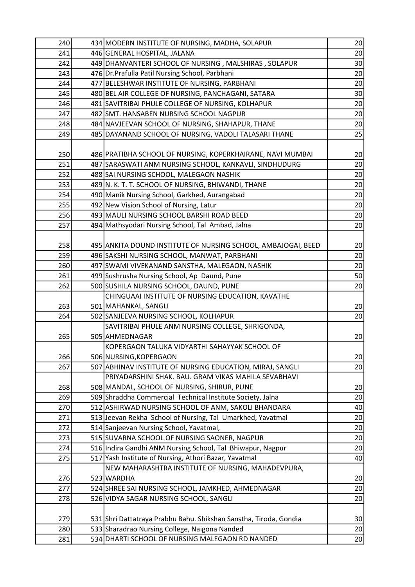| 240        | 434 MODERN INSTITUTE OF NURSING, MADHA, SOLAPUR                                                  | 20              |
|------------|--------------------------------------------------------------------------------------------------|-----------------|
| 241        | 446 GENERAL HOSPITAL, JALANA                                                                     | 20              |
| 242        | 449 DHANVANTERI SCHOOL OF NURSING, MALSHIRAS, SOLAPUR                                            | 30 <sup>°</sup> |
| 243        | 476 Dr. Prafulla Patil Nursing School, Parbhani                                                  | 20              |
| 244        | 477 BELESHWAR INSTITUTE OF NURSING, PARBHANI                                                     | 20              |
| 245        | 480 BEL AIR COLLEGE OF NURSING, PANCHAGANI, SATARA                                               | 30 <sup>°</sup> |
| 246        | 481 SAVITRIBAI PHULE COLLEGE OF NURSING, KOLHAPUR                                                | 20              |
| 247        | 482 SMT. HANSABEN NURSING SCHOOL NAGPUR                                                          | 20              |
| 248        | 484 NAVJEEVAN SCHOOL OF NURSING, SHAHAPUR, THANE                                                 | 20 <sup>°</sup> |
| 249        | 485 DAYANAND SCHOOL OF NURSING, VADOLI TALASARI THANE                                            | 25              |
|            |                                                                                                  |                 |
| 250        | 486 PRATIBHA SCHOOL OF NURSING, KOPERKHAIRANE, NAVI MUMBAI                                       | 20              |
| 251        | 487 SARASWATI ANM NURSING SCHOOL, KANKAVLI, SINDHUDURG                                           | 20 <sup>°</sup> |
| 252        | 488 SAI NURSING SCHOOL, MALEGAON NASHIK                                                          | 20 <sup>°</sup> |
| 253        | 489 N. K. T. T. SCHOOL OF NURSING, BHIWANDI, THANE                                               | 20 <sup>°</sup> |
| 254        | 490 Manik Nursing School, Garkhed, Aurangabad                                                    | 20              |
| 255        | 492 New Vision School of Nursing, Latur                                                          | 20              |
| 256        | 493 MAULI NURSING SCHOOL BARSHI ROAD BEED                                                        | 20              |
| 257        | 494 Mathsyodari Nursing School, Tal Ambad, Jalna                                                 | 20 <sup>°</sup> |
|            |                                                                                                  |                 |
| 258        | 495 ANKITA DOUND INSTITUTE OF NURSING SCHOOL, AMBAJOGAI, BEED                                    | 20              |
| 259        | 496 SAKSHI NURSING SCHOOL, MANWAT, PARBHANI                                                      | 20 <sup>°</sup> |
| 260        | 497 SWAMI VIVEKANAND SANSTHA, MALEGAON, NASHIK                                                   | 20              |
| 261        | 499 Sushrusha Nursing School, Ap Daund, Pune                                                     | 50              |
| 262        | 500 SUSHILA NURSING SCHOOL, DAUND, PUNE                                                          | 20 <sup>°</sup> |
|            | CHINGUAAI INSTITUTE OF NURSING EDUCATION, KAVATHE                                                |                 |
| 263        | 501 MAHANKAL, SANGLI                                                                             | 20 <sup>°</sup> |
| 264        | 502 SANJEEVA NURSING SCHOOL, KOLHAPUR                                                            | 20              |
|            | SAVITRIBAI PHULE ANM NURSING COLLEGE, SHRIGONDA,                                                 |                 |
| 265        | 505 AHMEDNAGAR                                                                                   | 20              |
|            | KOPERGAON TALUKA VIDYARTHI SAHAYYAK SCHOOL OF                                                    |                 |
| 266        | 506 NURSING, KOPERGAON                                                                           | 20              |
| 267        | 507 ABHINAV INSTITUTE OF NURSING EDUCATION, MIRAJ, SANGLI                                        | 20              |
|            | PRIYADARSHINI SHAK. BAU. GRAM VIKAS MAHILA SEVABHAVI                                             |                 |
| 268        | 508 MANDAL, SCHOOL OF NURSING, SHIRUR, PUNE                                                      | 20 <sup>°</sup> |
| 269        | 509 Shraddha Commercial Technical Institute Society, Jalna                                       | 20              |
| 270        | 512 ASHIRWAD NURSING SCHOOL OF ANM, SAKOLI BHANDARA                                              | 40              |
| 271        | 513 Jeevan Rekha School of Nursing, Tal Umarkhed, Yavatmal                                       | 20              |
| 272        | 514 Sanjeevan Nursing School, Yavatmal,                                                          | 20              |
| 273        | 515 SUVARNA SCHOOL OF NURSING SAONER, NAGPUR                                                     | 20              |
| 274        | 516 Indira Gandhi ANM Nursing School, Tal Bhiwapur, Nagpur                                       | 20 <sup>°</sup> |
| 275        | 517 Yash Institute of Nursing, Athori Bazar, Yavatmal                                            | 40              |
|            | NEW MAHARASHTRA INSTITUTE OF NURSING, MAHADEVPURA,                                               |                 |
| 276        | 523 WARDHA                                                                                       | 20              |
| 277        |                                                                                                  | 20              |
|            | 524 SHREE SAI NURSING SCHOOL, JAMKHED, AHMEDNAGAR                                                |                 |
| 278        | 526 VIDYA SAGAR NURSING SCHOOL, SANGLI                                                           | 20              |
|            |                                                                                                  |                 |
| 279        | 531 Shri Dattatraya Prabhu Bahu. Shikshan Sanstha, Tiroda, Gondia                                | 30 <sup>°</sup> |
| 280<br>281 | 533 Sharadrao Nursing College, Naigona Nanded<br>534 DHARTI SCHOOL OF NURSING MALEGAON RD NANDED | 20<br>20        |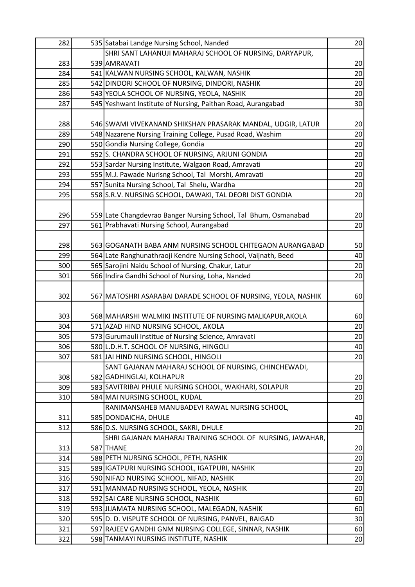| 282 | 535 Satabai Landge Nursing School, Nanded                       | 20              |
|-----|-----------------------------------------------------------------|-----------------|
|     | SHRI SANT LAHANUJI MAHARAJ SCHOOL OF NURSING, DARYAPUR,         |                 |
| 283 | 539 AMRAVATI                                                    | 20              |
| 284 | 541 KALWAN NURSING SCHOOL, KALWAN, NASHIK                       | 20              |
| 285 | 542 DINDORI SCHOOL OF NURSING, DINDORI, NASHIK                  | 20              |
| 286 | 543 YEOLA SCHOOL OF NURSING, YEOLA, NASHIK                      | 20              |
| 287 | 545 Yeshwant Institute of Nursing, Paithan Road, Aurangabad     | 30              |
|     |                                                                 |                 |
| 288 | 546 SWAMI VIVEKANAND SHIKSHAN PRASARAK MANDAL, UDGIR, LATUR     | 20              |
| 289 | 548 Nazarene Nursing Training College, Pusad Road, Washim       | 20              |
| 290 | 550 Gondia Nursing College, Gondia                              | 20              |
| 291 | 552 S. CHANDRA SCHOOL OF NURSING, ARJUNI GONDIA                 | 20              |
| 292 | 553 Sardar Nursing Institute, Walgaon Road, Amravati            | 20              |
| 293 | 555 M.J. Pawade Nurisng School, Tal Morshi, Amravati            | 20              |
| 294 | 557 Sunita Nursing School, Tal Shelu, Wardha                    | 20              |
| 295 | 558 S.R.V. NURSING SCHOOL, DAWAKI, TAL DEORI DIST GONDIA        | 20              |
|     |                                                                 |                 |
| 296 | 559 Late Changdevrao Banger Nursing School, Tal Bhum, Osmanabad | 20              |
| 297 | 561 Prabhavati Nursing School, Aurangabad                       | 20              |
|     |                                                                 |                 |
| 298 | 563 GOGANATH BABA ANM NURSING SCHOOL CHITEGAON AURANGABAD       | 50              |
| 299 | 564 Late Ranghunathraoji Kendre Nursing School, Vaijnath, Beed  | 40              |
| 300 | 565 Sarojini Naidu School of Nursing, Chakur, Latur             | 20              |
| 301 | 566 Indira Gandhi School of Nursing, Loha, Nanded               | 20              |
|     |                                                                 |                 |
| 302 | 567 MATOSHRI ASARABAI DARADE SCHOOL OF NURSING, YEOLA, NASHIK   | 60              |
|     |                                                                 |                 |
| 303 | 568 MAHARSHI WALMIKI INSTITUTE OF NURSING MALKAPUR, AKOLA       | 60              |
| 304 | 571 AZAD HIND NURSING SCHOOL, AKOLA                             | 20              |
| 305 | 573 Gurumauli Institue of Nursing Science, Amravati             | 20              |
| 306 | 580 L.D.H.T. SCHOOL OF NURSING, HINGOLI                         | 40              |
| 307 | 581 JAI HIND NURSING SCHOOL, HINGOLI                            | 20              |
|     | SANT GAJANAN MAHARAJ SCHOOL OF NURSING, CHINCHEWADI,            |                 |
| 308 | 582 GADHINGLAJ, KOLHAPUR                                        | 20              |
| 309 | 583 SAVITRIBAI PHULE NURSING SCHOOL, WAKHARI, SOLAPUR           | 20              |
| 310 | 584 MAI NURSING SCHOOL, KUDAL                                   | 20              |
|     | RANIMANSAHEB MANUBADEVI RAWAL NURSING SCHOOL,                   |                 |
| 311 | 585 DONDAICHA, DHULE                                            | 40              |
| 312 | 586 D.S. NURSING SCHOOL, SAKRI, DHULE                           | 20              |
|     | SHRI GAJANAN MAHARAJ TRAINING SCHOOL OF NURSING, JAWAHAR,       |                 |
| 313 | 587 THANE                                                       | 20 <sup>°</sup> |
| 314 | 588 PETH NURSING SCHOOL, PETH, NASHIK                           | 20              |
| 315 | 589 IGATPURI NURSING SCHOOL, IGATPURI, NASHIK                   | 20              |
| 316 | 590 NIFAD NURSING SCHOOL, NIFAD, NASHIK                         | 20              |
| 317 | 591   MANMAD NURSING SCHOOL, YEOLA, NASHIK                      | 20              |
| 318 | 592 SAI CARE NURSING SCHOOL, NASHIK                             | 60              |
| 319 | 593 JJJJAMATA NURSING SCHOOL, MALEGAON, NASHIK                  | 60              |
| 320 | 595 D. D. VISPUTE SCHOOL OF NURSING, PANVEL, RAIGAD             | 30              |
| 321 | 597 RAJEEV GANDHI GNM NURSING COLLEGE, SINNAR, NASHIK           | 60              |
| 322 | 598 TANMAYI NURSING INSTITUTE, NASHIK                           | 20 <sup>°</sup> |
|     |                                                                 |                 |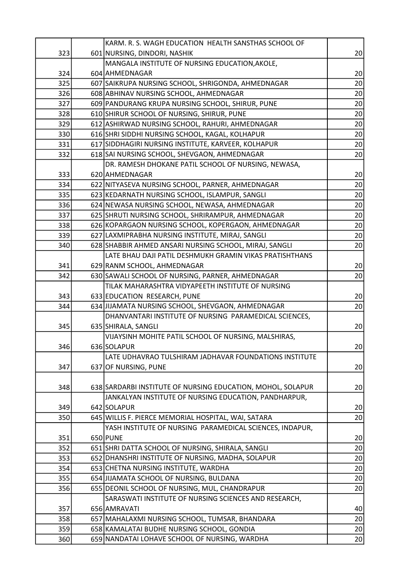|            | KARM. R. S. WAGH EDUCATION HEALTH SANSTHAS SCHOOL OF                                                   |                 |
|------------|--------------------------------------------------------------------------------------------------------|-----------------|
| 323        | 601 NURSING, DINDORI, NASHIK                                                                           | 20              |
|            | MANGALA INSTITUTE OF NURSING EDUCATION, AKOLE,                                                         |                 |
| 324        | 604 AHMEDNAGAR                                                                                         | 20              |
| 325        | 607 SAIKRUPA NURSING SCHOOL, SHRIGONDA, AHMEDNAGAR                                                     | 20              |
| 326        | 608 ABHINAV NURSING SCHOOL, AHMEDNAGAR                                                                 | 20              |
| 327        | 609 PANDURANG KRUPA NURSING SCHOOL, SHIRUR, PUNE                                                       | 20 <sup>°</sup> |
| 328        | 610 SHIRUR SCHOOL OF NURSING, SHIRUR, PUNE                                                             | 20              |
| 329        | 612 ASHIRWAD NURSING SCHOOL, RAHURI, AHMEDNAGAR                                                        | 20 <sup>°</sup> |
| 330        | 616 SHRI SIDDHI NURSING SCHOOL, KAGAL, KOLHAPUR                                                        | 20 <sup>°</sup> |
| 331        | 617 SIDDHAGIRI NURSING INSTITUTE, KARVEER, KOLHAPUR                                                    | 20 <sup>°</sup> |
| 332        | 618 SAI NURSING SCHOOL, SHEVGAON, AHMEDNAGAR                                                           | 20              |
|            | DR. RAMESH DHOKANE PATIL SCHOOL OF NURSING, NEWASA,                                                    |                 |
| 333        | 620 AHMEDNAGAR                                                                                         | 20              |
| 334        | 622 NITYASEVA NURSING SCHOOL, PARNER, AHMEDNAGAR                                                       | 20              |
| 335        | 623 KEDARNATH NURSING SCHOOL, ISLAMPUR, SANGLI                                                         | 20              |
| 336        | 624 NEWASA NURSING SCHOOL, NEWASA, AHMEDNAGAR                                                          | 20              |
| 337        | 625 SHRUTI NURSING SCHOOL, SHRIRAMPUR, AHMEDNAGAR                                                      | 20              |
| 338        | 626 KOPARGAON NURSING SCHOOL, KOPERGAON, AHMEDNAGAR                                                    | 20 <sup>°</sup> |
| 339        | 627 LAXMIPRABHA NURSING INSTITUTE, MIRAJ, SANGLI                                                       | 20              |
| 340        | 628 SHABBIR AHMED ANSARI NURSING SCHOOL, MIRAJ, SANGLI                                                 | 20              |
|            | LATE BHAU DAJI PATIL DESHMUKH GRAMIN VIKAS PRATISHTHANS                                                |                 |
| 341        | 629 RANM SCHOOL, AHMEDNAGAR                                                                            | 20              |
| 342        | 630 SAWALI SCHOOL OF NURSING, PARNER, AHMEDNAGAR                                                       | 20              |
|            | TILAK MAHARASHTRA VIDYAPEETH INSTITUTE OF NURSING                                                      |                 |
| 343        | 633 EDUCATION RESEARCH, PUNE                                                                           | 20              |
| 344        | 634 JIJAMATA NURSING SCHOOL, SHEVGAON, AHMEDNAGAR                                                      | 20              |
|            | DHANVANTARI INSTITUTE OF NURSING PARAMEDICAL SCIENCES,                                                 |                 |
| 345        | 635 SHIRALA, SANGLI                                                                                    | 20              |
|            | VIJAYSINH MOHITE PATIL SCHOOL OF NURSING, MALSHIRAS,                                                   |                 |
| 346        | 636 SOLAPUR                                                                                            | 20              |
|            | LATE UDHAVRAO TULSHIRAM JADHAVAR FOUNDATIONS INSTITUTE                                                 |                 |
| 347        | 637 OF NURSING, PUNE                                                                                   | 20 <sup>°</sup> |
|            |                                                                                                        |                 |
| 348        | 638 SARDARBI INSTITUTE OF NURSING EDUCATION, MOHOL, SOLAPUR                                            | 20              |
|            | JANKALYAN INSTITUTE OF NURSING EDUCATION, PANDHARPUR,                                                  |                 |
| 349        | 642 SOLAPUR                                                                                            | 20 <sup>°</sup> |
| 350        | 645 WILLIS F. PIERCE MEMORIAL HOSPITAL, WAI, SATARA                                                    | 20              |
|            | YASH INSTITUTE OF NURSING PARAMEDICAL SCIENCES, INDAPUR,                                               |                 |
| 351        | 650 PUNE                                                                                               | 20              |
| 352        | 651 SHRI DATTA SCHOOL OF NURSING, SHIRALA, SANGLI<br>652 DHANSHRI INSTITUTE OF NURSING, MADHA, SOLAPUR | 20              |
| 353        |                                                                                                        | 20              |
| 354<br>355 | 653 CHETNA NURSING INSTITUTE, WARDHA<br>654 JIJAMATA SCHOOL OF NURSING, BULDANA                        | 20              |
|            | 655 DEONIL SCHOOL OF NURSING, MUL, CHANDRAPUR                                                          | 20<br>20        |
| 356        | SARASWATI INSTITUTE OF NURSING SCIENCES AND RESEARCH,                                                  |                 |
| 357        | 656 AMRAVATI                                                                                           | 40              |
| 358        | 657 MAHALAXMI NURSING SCHOOL, TUMSAR, BHANDARA                                                         | 20              |
| 359        | 658 KAMALATAI BUDHE NURSING SCHOOL, GONDIA                                                             | 20              |
| 360        | 659 NANDATAI LOHAVE SCHOOL OF NURSING, WARDHA                                                          | 20              |
|            |                                                                                                        |                 |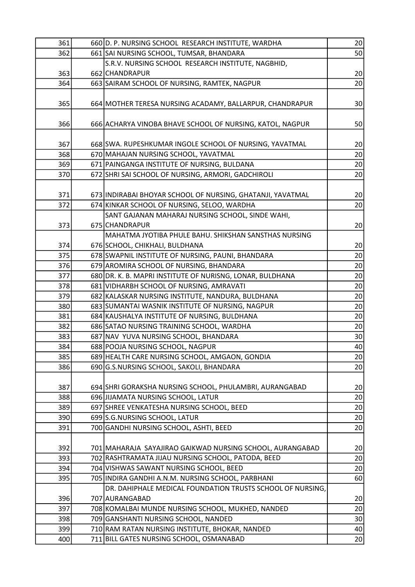| 361 | 660 D. P. NURSING SCHOOL RESEARCH INSTITUTE, WARDHA         | 20              |
|-----|-------------------------------------------------------------|-----------------|
| 362 | 661 SAI NURSING SCHOOL, TUMSAR, BHANDARA                    | 50              |
|     | S.R.V. NURSING SCHOOL RESEARCH INSTITUTE, NAGBHID,          |                 |
| 363 | 662 CHANDRAPUR                                              | 20              |
| 364 | 663 SAIRAM SCHOOL OF NURSING, RAMTEK, NAGPUR                | 20              |
|     |                                                             |                 |
| 365 | 664 MOTHER TERESA NURSING ACADAMY, BALLARPUR, CHANDRAPUR    | 30 <sup>°</sup> |
|     |                                                             |                 |
| 366 | 666 ACHARYA VINOBA BHAVE SCHOOL OF NURSING, KATOL, NAGPUR   | 50              |
|     |                                                             |                 |
| 367 | 668 SWA. RUPESHKUMAR INGOLE SCHOOL OF NURSING, YAVATMAL     | 20 <sup>°</sup> |
| 368 | 670 MAHAJAN NURSING SCHOOL, YAVATMAL                        | 20              |
| 369 | 671 PAINGANGA INSTITUTE OF NURSING, BULDANA                 | 20              |
| 370 | 672 SHRI SAI SCHOOL OF NURSING, ARMORI, GADCHIROLI          | 20              |
|     |                                                             |                 |
| 371 | 673 INDIRABAI BHOYAR SCHOOL OF NURSING, GHATANJI, YAVATMAL  | 20              |
| 372 | 674 KINKAR SCHOOL OF NURSING, SELOO, WARDHA                 | 20              |
|     | SANT GAJANAN MAHARAJ NURSING SCHOOL, SINDE WAHI,            |                 |
| 373 | 675 CHANDRAPUR                                              | 20              |
|     | MAHATMA JYOTIBA PHULE BAHU. SHIKSHAN SANSTHAS NURSING       |                 |
| 374 | 676 SCHOOL, CHIKHALI, BULDHANA                              | 20              |
| 375 | 678 SWAPNIL INSTITUTE OF NURSING, PAUNI, BHANDARA           | 20              |
| 376 | 679 AROMIRA SCHOOL OF NURSING, BHANDARA                     | 20              |
| 377 | 680 DR. K. B. MAPRI INSTITUTE OF NURISNG, LONAR, BULDHANA   | 20              |
| 378 | 681 VIDHARBH SCHOOL OF NURSING, AMRAVATI                    | 20              |
| 379 | 682 KALASKAR NURSING INSTITUTE, NANDURA, BULDHANA           | 20              |
| 380 | 683 SUMANTAI WASNIK INSTITUTE OF NURSING, NAGPUR            | 20              |
| 381 | 684 KAUSHALYA INSTITUTE OF NURSING, BULDHANA                | 20              |
| 382 | 686 SATAO NURSING TRAINING SCHOOL, WARDHA                   | 20              |
| 383 | 687 NAV YUVA NURSING SCHOOL, BHANDARA                       | 30              |
| 384 | 688 POOJA NURSING SCHOOL, NAGPUR                            | 40              |
| 385 | 689 HEALTH CARE NURSING SCHOOL, AMGAON, GONDIA              | 20              |
| 386 | 690 G.S.NURSING SCHOOL, SAKOLI, BHANDARA                    | 20              |
|     |                                                             |                 |
| 387 | 694 SHRI GORAKSHA NURSING SCHOOL, PHULAMBRI, AURANGABAD     | 20              |
| 388 | 696 JIJAMATA NURSING SCHOOL, LATUR                          | 20              |
| 389 | 697 SHREE VENKATESHA NURSING SCHOOL, BEED                   | 20              |
| 390 | 699 S.G. NURSING SCHOOL, LATUR                              | 20              |
| 391 | 700 GANDHI NURSING SCHOOL, ASHTI, BEED                      | 20              |
|     |                                                             |                 |
| 392 | 701   MAHARAJA SAYAJIRAO GAIKWAD NURSING SCHOOL, AURANGABAD | 20              |
| 393 | 702 RASHTRAMATA JIJAU NURSING SCHOOL, PATODA, BEED          | 20              |
| 394 | 704 VISHWAS SAWANT NURSING SCHOOL, BEED                     | 20              |
| 395 | 705 INDIRA GANDHI A.N.M. NURSING SCHOOL, PARBHANI           | 60              |
|     | DR. DAHIPHALE MEDICAL FOUNDATION TRUSTS SCHOOL OF NURSING,  |                 |
|     |                                                             |                 |
| 396 | 707 AURANGABAD                                              | 20<br>20        |
| 397 | 708 KOMALBAI MUNDE NURSING SCHOOL, MUKHED, NANDED           |                 |
| 398 | 709 GANSHANTI NURSING SCHOOL, NANDED                        | 30              |
| 399 | 710 RAM RATAN NURSING INSTITUTE, BHOKAR, NANDED             | 40              |
| 400 | 711 BILL GATES NURSING SCHOOL, OSMANABAD                    | 20              |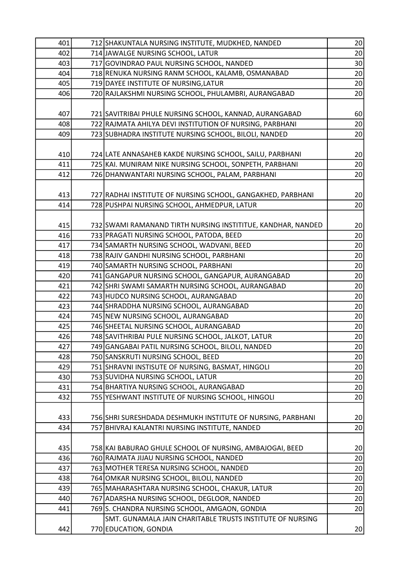| 401 |     | 712 SHAKUNTALA NURSING INSTITUTE, MUDKHED, NANDED            | 20              |
|-----|-----|--------------------------------------------------------------|-----------------|
| 402 |     | 714 JAWALGE NURSING SCHOOL, LATUR                            | 20              |
| 403 |     | 717 GOVINDRAO PAUL NURSING SCHOOL, NANDED                    | 30 <sup>°</sup> |
| 404 |     | 718 RENUKA NURSING RANM SCHOOL, KALAMB, OSMANABAD            | 20 <sup>°</sup> |
| 405 |     | 719 DAYEE INSTITUTE OF NURSING, LATUR                        | 20 <sup>°</sup> |
| 406 |     | 720 RAJLAKSHMI NURSING SCHOOL, PHULAMBRI, AURANGABAD         | 20              |
|     |     |                                                              |                 |
| 407 |     | 721 SAVITRIBAI PHULE NURSING SCHOOL, KANNAD, AURANGABAD      | 60              |
| 408 |     | 722 RAJMATA AHILYA DEVI INSTITUTION OF NURSING, PARBHANI     | 20              |
| 409 |     | 723 SUBHADRA INSTITUTE NURSING SCHOOL, BILOLI, NANDED        | 20              |
|     |     |                                                              |                 |
| 410 |     | 724 LATE ANNASAHEB KAKDE NURSING SCHOOL, SAILU, PARBHANI     | 20              |
| 411 |     | 725 KAI. MUNIRAM NIKE NURSING SCHOOL, SONPETH, PARBHANI      | 20 <sub>2</sub> |
| 412 |     | 726 DHANWANTARI NURSING SCHOOL, PALAM, PARBHANI              | 20              |
|     |     |                                                              |                 |
| 413 |     | 727 RADHAI INSTITUTE OF NURSING SCHOOL, GANGAKHED, PARBHANI  | 20              |
| 414 |     | 728 PUSHPAI NURSING SCHOOL, AHMEDPUR, LATUR                  | 20              |
|     |     |                                                              |                 |
| 415 |     | 732 SWAMI RAMANAND TIRTH NURSING INSTITITUE, KANDHAR, NANDED | 20              |
| 416 |     | 733 PRAGATI NURSING SCHOOL, PATODA, BEED                     | 20 <sup>°</sup> |
| 417 |     | 734 SAMARTH NURSING SCHOOL, WADVANI, BEED                    | 20              |
| 418 |     | 738 RAJIV GANDHI NURSING SCHOOL, PARBHANI                    | 20              |
| 419 |     | 740 SAMARTH NURSING SCHOOL, PARBHANI                         | 20 <sup>°</sup> |
| 420 |     | 741 GANGAPUR NURSING SCHOOL, GANGAPUR, AURANGABAD            | 20 <sup>°</sup> |
| 421 |     | 742 SHRI SWAMI SAMARTH NURSING SCHOOL, AURANGABAD            | 20              |
| 422 |     | 743 HUDCO NURSING SCHOOL, AURANGABAD                         | 20              |
| 423 |     | 744 SHRADDHA NURSING SCHOOL, AURANGABAD                      | 20              |
| 424 |     | 745 NEW NURSING SCHOOL, AURANGABAD                           | 20 <sup>°</sup> |
| 425 |     | 746 SHEETAL NURSING SCHOOL, AURANGABAD                       | 20 <sup>°</sup> |
| 426 |     | 748 SAVITHRIBAI PULE NURSING SCHOOL, JALKOT, LATUR           | 20              |
| 427 |     | 749 GANGABAI PATIL NURSING SCHOOL, BILOLI, NANDED            | 20              |
| 428 |     | 750 SANSKRUTI NURSING SCHOOL, BEED                           | 20              |
| 429 |     | 751 SHRAVNI INSTISUTE OF NURSING, BASMAT, HINGOLI            | 20              |
| 430 |     | 753 SUVIDHA NURSING SCHOOL, LATUR                            | 20              |
| 431 |     | 754 BHARTIYA NURSING SCHOOL, AURANGABAD                      | 20              |
| 432 |     | 755 YESHWANT INSTITUTE OF NURSING SCHOOL, HINGOLI            | 20              |
|     |     |                                                              |                 |
| 433 |     | 756 SHRI SURESHDADA DESHMUKH INSTITUTE OF NURSING, PARBHANI  | 20 <sup>°</sup> |
| 434 | 757 | BHIVRAJ KALANTRI NURSING INSTITUTE, NANDED                   | 20              |
|     |     |                                                              |                 |
| 435 |     | 758 KAI BABURAO GHULE SCHOOL OF NURSING, AMBAJOGAI, BEED     | 20 <sup>°</sup> |
| 436 |     | 760 RAJMATA JIJAU NURSING SCHOOL, NANDED                     | 20              |
| 437 |     | 763 MOTHER TERESA NURSING SCHOOL, NANDED                     | 20              |
| 438 |     | 764 OMKAR NURSING SCHOOL, BILOLI, NANDED                     | 20              |
| 439 |     | 765 MAHARASHTARA NURSING SCHOOL, CHAKUR, LATUR               | 20              |
| 440 |     | 767 ADARSHA NURSING SCHOOL, DEGLOOR, NANDED                  | 20              |
| 441 |     | 769 S. CHANDRA NURSING SCHOOL, AMGAON, GONDIA                | 20              |
|     |     | SMT. GUNAMALA JAIN CHARITABLE TRUSTS INSTITUTE OF NURSING    |                 |
| 442 |     | 770 EDUCATION, GONDIA                                        | 20              |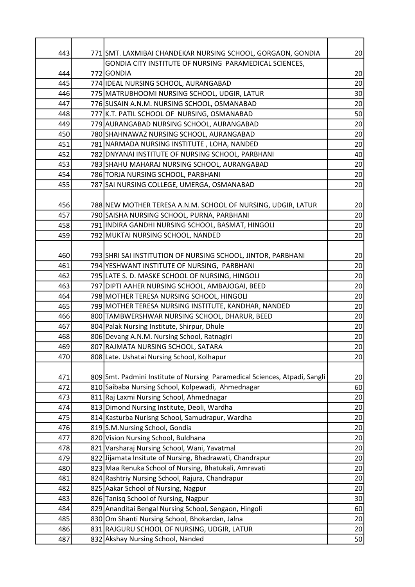| 443 | 771 SMT. LAXMIBAI CHANDEKAR NURSING SCHOOL, GORGAON, GONDIA                | 20 <sup>°</sup> |
|-----|----------------------------------------------------------------------------|-----------------|
|     | GONDIA CITY INSTITUTE OF NURSING PARAMEDICAL SCIENCES,                     |                 |
| 444 | 772 GONDIA                                                                 | 20              |
| 445 | 774 IDEAL NURSING SCHOOL, AURANGABAD                                       | 20              |
| 446 | 775 MATRUBHOOMI NURSING SCHOOL, UDGIR, LATUR                               | 30 <sup>°</sup> |
| 447 | 776 SUSAIN A.N.M. NURSING SCHOOL, OSMANABAD                                | 20              |
| 448 | 777 K.T. PATIL SCHOOL OF NURSING, OSMANABAD                                | 50              |
| 449 | 779 AURANGABAD NURSING SCHOOL, AURANGABAD                                  | 20              |
| 450 | 780 SHAHNAWAZ NURSING SCHOOL, AURANGABAD                                   | 20              |
| 451 | 781 NARMADA NURSING INSTITUTE, LOHA, NANDED                                | 20              |
| 452 | 782 DNYANAI INSTITUTE OF NURSING SCHOOL, PARBHANI                          | 40              |
| 453 | 783 SHAHU MAHARAJ NURSING SCHOOL, AURANGABAD                               | 20              |
| 454 | 786 TORJA NURSING SCHOOL, PARBHANI                                         | 20              |
| 455 | 787 SAI NURSING COLLEGE, UMERGA, OSMANABAD                                 | 20              |
|     |                                                                            |                 |
| 456 | 788 NEW MOTHER TERESA A.N.M. SCHOOL OF NURSING, UDGIR, LATUR               | 20              |
| 457 | 790 SAISHA NURSING SCHOOL, PURNA, PARBHANI                                 | 20              |
| 458 | 791 INDIRA GANDHI NURSING SCHOOL, BASMAT, HINGOLI                          | 20              |
| 459 | 792 MUKTAI NURSING SCHOOL, NANDED                                          | 20              |
|     |                                                                            |                 |
| 460 | 793 SHRI SAI INSTITUTION OF NURSING SCHOOL, JINTOR, PARBHANI               | 20              |
| 461 | 794 YESHWANT INSTITUTE OF NURSING, PARBHANI                                | 20              |
| 462 | 795 LATE S. D. MASKE SCHOOL OF NURSING, HINGOLI                            | 20              |
| 463 | 797 DIPTI AAHER NURSING SCHOOL, AMBAJOGAI, BEED                            | 20              |
| 464 | 798 MOTHER TERESA NURSING SCHOOL, HINGOLI                                  | 20              |
| 465 | 799 MOTHER TERESA NURSING INSTITUTE, KANDHAR, NANDED                       | 20              |
| 466 | 800 TAMBWERSHWAR NURSING SCHOOL, DHARUR, BEED                              | 20              |
| 467 | 804 Palak Nursing Institute, Shirpur, Dhule                                | 20              |
| 468 | 806 Devang A.N.M. Nursing School, Ratnagiri                                | 20              |
| 469 | 807 RAJMATA NURSING SCHOOL, SATARA                                         | 20              |
| 470 | 808 Late. Ushatai Nursing School, Kolhapur                                 | 20              |
|     |                                                                            |                 |
| 471 | 809 Smt. Padmini Institute of Nursing Paramedical Sciences, Atpadi, Sangli | 20              |
| 472 | 810 Saibaba Nursing School, Kolpewadi, Ahmednagar                          | 60              |
| 473 | 811 Raj Laxmi Nursing School, Ahmednagar                                   | 20              |
| 474 | 813 Dimond Nursing Institute, Deoli, Wardha                                | 20              |
| 475 | 814 Kasturba Nurisng School, Samudrapur, Wardha                            | 20              |
| 476 | 819 S.M. Nursing School, Gondia                                            | 20              |
| 477 | 820 Vision Nursing School, Buldhana                                        | 20              |
| 478 | 821 Varsharaj Nursing School, Wani, Yavatmal                               | 20              |
| 479 | 822 Jijamata Insitute of Nursing, Bhadrawati, Chandrapur                   | 20              |
| 480 | 823 Maa Renuka School of Nursing, Bhatukali, Amravati                      | 20              |
| 481 | 824 Rashtriy Nursing School, Rajura, Chandrapur                            | 20              |
| 482 | 825 Aakar School of Nursing, Nagpur                                        | 20              |
| 483 | 826 Tanisq School of Nursing, Nagpur                                       | 30              |
| 484 | 829 Ananditai Bengal Nursing School, Sengaon, Hingoli                      | 60              |
| 485 | 830 Om Shanti Nursing School, Bhokardan, Jalna                             | 20              |
| 486 | 831 RAJGURU SCHOOL OF NURSING, UDGIR, LATUR                                | 20              |
| 487 | 832 Akshay Nursing School, Nanded                                          | 50              |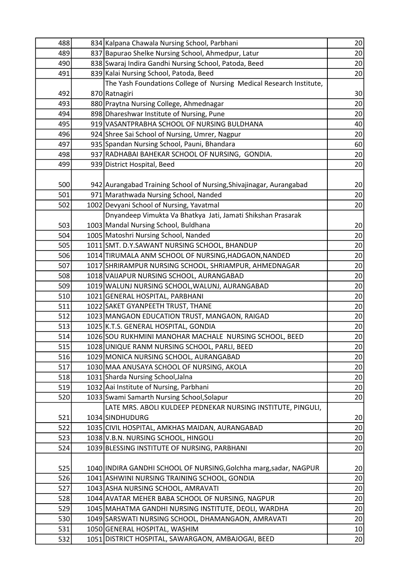| 488 | 834 Kalpana Chawala Nursing School, Parbhani                        | 20              |
|-----|---------------------------------------------------------------------|-----------------|
| 489 | 837 Bapurao Shelke Nursing School, Ahmedpur, Latur                  | 20              |
| 490 | 838 Swaraj Indira Gandhi Nursing School, Patoda, Beed               | 20              |
| 491 | 839 Kalai Nursing School, Patoda, Beed                              | 20              |
|     | The Yash Foundations College of Nursing Medical Research Institute, |                 |
| 492 | 870 Ratnagiri                                                       | 30 <sup>°</sup> |
| 493 | 880 Praytna Nursing College, Ahmednagar                             | 20              |
| 494 | 898 Dhareshwar Institute of Nursing, Pune                           | 20              |
| 495 | 919 VASANTPRABHA SCHOOL OF NURSING BULDHANA                         | 40              |
| 496 | 924 Shree Sai School of Nursing, Umrer, Nagpur                      | 20              |
| 497 | 935 Spandan Nursing School, Pauni, Bhandara                         | 60              |
| 498 | 937 RADHABAI BAHEKAR SCHOOL OF NURSING, GONDIA.                     | 20              |
| 499 | 939 District Hospital, Beed                                         | 20              |
|     |                                                                     |                 |
| 500 | 942 Aurangabad Training School of Nursing, Shivajinagar, Aurangabad | 20              |
| 501 | 971 Marathwada Nursing School, Nanded                               | 20              |
| 502 | 1002 Devyani School of Nursing, Yavatmal                            | 20              |
|     | Dnyandeep Vimukta Va Bhatkya Jati, Jamati Shikshan Prasarak         |                 |
| 503 | 1003 Mandal Nursing School, Buldhana                                | 20 <sup>°</sup> |
| 504 | 1005 Matoshri Nursing School, Nanded                                | 20              |
| 505 | 1011 SMT. D.Y.SAWANT NURSING SCHOOL, BHANDUP                        | 20              |
| 506 | 1014 TIRUMALA ANM SCHOOL OF NURSING, HADGAON, NANDED                | 20              |
| 507 | 1017 SHRIRAMPUR NURSING SCHOOL, SHRIAMPUR, AHMEDNAGAR               | 20              |
| 508 | 1018 VAIJAPUR NURSING SCHOOL, AURANGABAD                            | 20              |
| 509 | 1019 WALUNJ NURSING SCHOOL, WALUNJ, AURANGABAD                      | 20              |
| 510 | 1021 GENERAL HOSPITAL, PARBHANI                                     | 20              |
| 511 | 1022 SAKET GYANPEETH TRUST, THANE                                   | 20              |
| 512 | 1023 MANGAON EDUCATION TRUST, MANGAON, RAIGAD                       | 20              |
| 513 | 1025 K.T.S. GENERAL HOSPITAL, GONDIA                                | 20              |
| 514 | 1026 SOU RUKHMINI MANOHAR MACHALE NURSING SCHOOL, BEED              | 20              |
| 515 | 1028 UNIQUE RANM NURSING SCHOOL, PARLI, BEED                        | 20              |
| 516 | 1029 MONICA NURSING SCHOOL, AURANGABAD                              | 20              |
| 517 | 1030 MAA ANUSAYA SCHOOL OF NURSING, AKOLA                           | 20              |
| 518 | 1031 Sharda Nursing School, Jalna                                   | 20              |
| 519 | 1032 Aai Institute of Nursing, Parbhani                             | 20              |
| 520 | 1033 Swami Samarth Nursing School, Solapur                          | 20              |
|     | LATE MRS. ABOLI KULDEEP PEDNEKAR NURSING INSTITUTE, PINGULI,        |                 |
| 521 | 1034 SINDHUDURG                                                     | 20              |
| 522 | 1035 CIVIL HOSPITAL, AMKHAS MAIDAN, AURANGABAD                      | 20              |
| 523 | 1038 V.B.N. NURSING SCHOOL, HINGOLI                                 | 20              |
| 524 | 1039 BLESSING INSTITUTE OF NURSING, PARBHANI                        | 20              |
|     |                                                                     |                 |
| 525 | 1040 INDIRA GANDHI SCHOOL OF NURSING, Golchha marg, sadar, NAGPUR   | 20 <sub>2</sub> |
| 526 | 1041 ASHWINI NURSING TRAINING SCHOOL, GONDIA                        | 20              |
| 527 | 1043 ASHA NURSING SCHOOL, AMRAVATI                                  | 20              |
| 528 | 1044 AVATAR MEHER BABA SCHOOL OF NURSING, NAGPUR                    | 20              |
| 529 | 1045 MAHATMA GANDHI NURSING INSTITUTE, DEOLI, WARDHA                | 20              |
| 530 | 1049 SARSWATI NURSING SCHOOL, DHAMANGAON, AMRAVATI                  | 20              |
| 531 | 1050 GENERAL HOSPITAL, WASHIM                                       | $10\,$          |
| 532 | 1051 DISTRICT HOSPITAL, SAWARGAON, AMBAJOGAI, BEED                  | 20              |